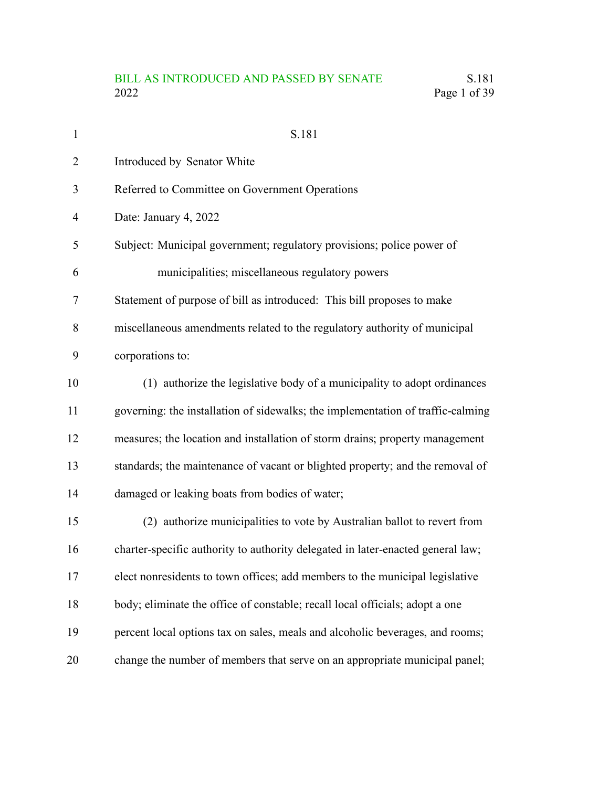# BILL AS INTRODUCED AND PASSED BY SENATE S.181<br>2022 Page 1 of 39 Page 1 of 39

| $\mathbf{1}$   | S.181                                                                           |
|----------------|---------------------------------------------------------------------------------|
| $\overline{2}$ | Introduced by Senator White                                                     |
| 3              | Referred to Committee on Government Operations                                  |
| $\overline{4}$ | Date: January 4, 2022                                                           |
| 5              | Subject: Municipal government; regulatory provisions; police power of           |
| 6              | municipalities; miscellaneous regulatory powers                                 |
| 7              | Statement of purpose of bill as introduced: This bill proposes to make          |
| 8              | miscellaneous amendments related to the regulatory authority of municipal       |
| 9              | corporations to:                                                                |
| 10             | (1) authorize the legislative body of a municipality to adopt ordinances        |
| 11             | governing: the installation of sidewalks; the implementation of traffic-calming |
| 12             | measures; the location and installation of storm drains; property management    |
| 13             | standards; the maintenance of vacant or blighted property; and the removal of   |
| 14             | damaged or leaking boats from bodies of water;                                  |
| 15             | (2) authorize municipalities to vote by Australian ballot to revert from        |
| 16             | charter-specific authority to authority delegated in later-enacted general law; |
| 17             | elect nonresidents to town offices; add members to the municipal legislative    |
| 18             | body; eliminate the office of constable; recall local officials; adopt a one    |
| 19             | percent local options tax on sales, meals and alcoholic beverages, and rooms;   |
| 20             | change the number of members that serve on an appropriate municipal panel;      |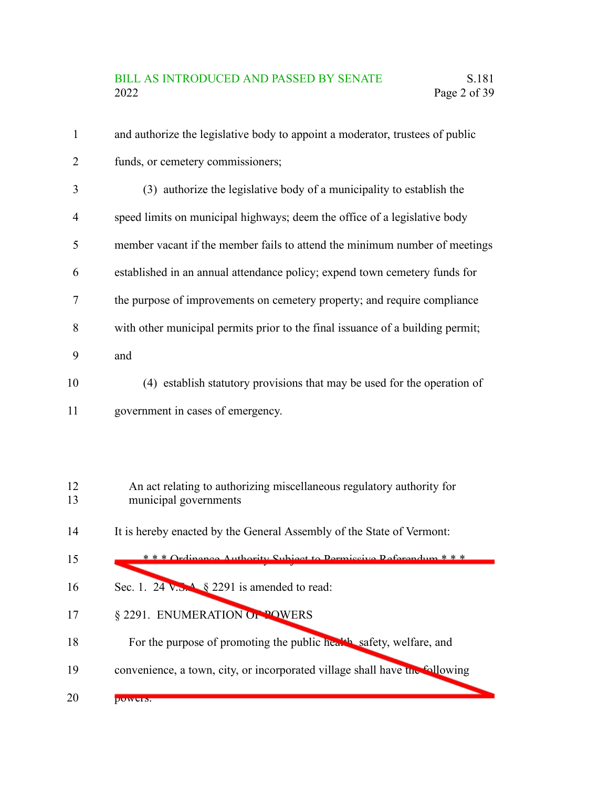| $\mathbf{1}$   | and authorize the legislative body to appoint a moderator, trustees of public                  |
|----------------|------------------------------------------------------------------------------------------------|
| $\overline{2}$ | funds, or cemetery commissioners;                                                              |
| 3              | (3) authorize the legislative body of a municipality to establish the                          |
| 4              | speed limits on municipal highways; deem the office of a legislative body                      |
| 5              | member vacant if the member fails to attend the minimum number of meetings                     |
| 6              | established in an annual attendance policy; expend town cemetery funds for                     |
| 7              | the purpose of improvements on cemetery property; and require compliance                       |
| 8              | with other municipal permits prior to the final issuance of a building permit;                 |
| 9              | and                                                                                            |
| 10             | (4) establish statutory provisions that may be used for the operation of                       |
| 11             | government in cases of emergency.                                                              |
|                |                                                                                                |
|                |                                                                                                |
| 12<br>13       | An act relating to authorizing miscellaneous regulatory authority for<br>municipal governments |
|                |                                                                                                |

It is hereby enacted by the General Assembly of the State of Vermont: 14

| 15 | * * * Ordinance Authority Subject to Dermissive Referendum * * *            |
|----|-----------------------------------------------------------------------------|
| 16 | Sec. 1. 24 $\sqrt{3}$ \$ 2291 is amended to read:                           |
| 17 | § 2291. ENUMERATION OF POWERS                                               |
| 18 | For the purpose of promoting the public health safety, welfare, and         |
| 19 | convenience, a town, city, or incorporated village shall have the following |
| 20 | DUWUIS.                                                                     |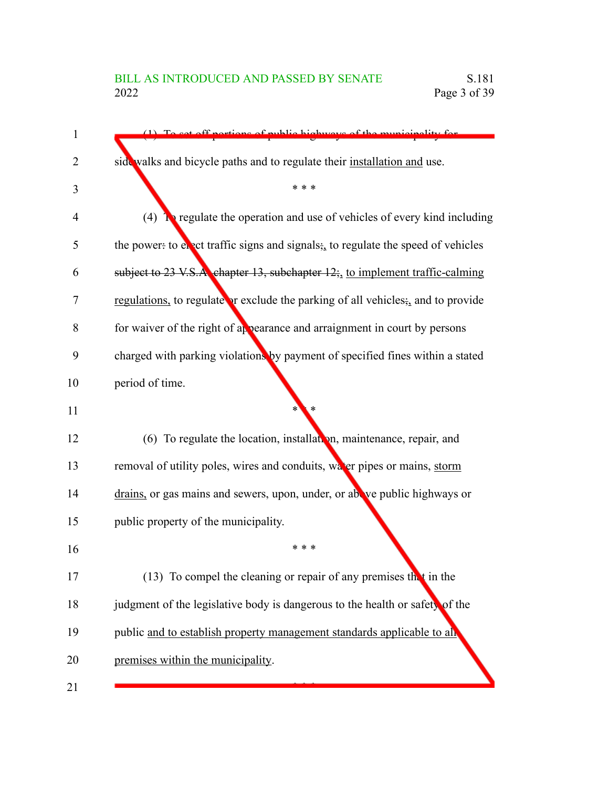### BILL AS INTRODUCED AND PASSED BY SENATE S.181<br>2022 Page 3 of 39 Page 3 of 39

| $\mathbf 1$ | $(1)$ To set off portions of public highways of the municipality for             |
|-------------|----------------------------------------------------------------------------------|
| 2           | side walks and bicycle paths and to regulate their installation and use.         |
| 3           | * * *                                                                            |
| 4           | (4) <b>T</b> regulate the operation and use of vehicles of every kind including  |
| 5           | the power: to evect traffic signs and signals; to regulate the speed of vehicles |
| 6           | subject to 23 V.S.A chapter 13, subchapter 12; to implement traffic-calming      |
| 7           | regulations, to regulate or exclude the parking of all vehicles; and to provide  |
| 8           | for waiver of the right of appearance and arraignment in court by persons        |
| 9           | charged with parking violations by payment of specified fines within a stated    |
| 10          | period of time.                                                                  |
| 11          |                                                                                  |
| 12          | (6) To regulate the location, installation, maintenance, repair, and             |
| 13          | removal of utility poles, wires and conduits, water pipes or mains, storm        |
| 14          | drains, or gas mains and sewers, upon, under, or above public highways or        |
| 15          | public property of the municipality.                                             |
| 16          | * * *                                                                            |
| 17          | (13) To compel the cleaning or repair of any premises that in the                |
| 18          | judgment of the legislative body is dangerous to the health or safety of the     |
| 19          | public and to establish property management standards applicable to all          |
| 20          | premises within the municipality.                                                |
| 21          |                                                                                  |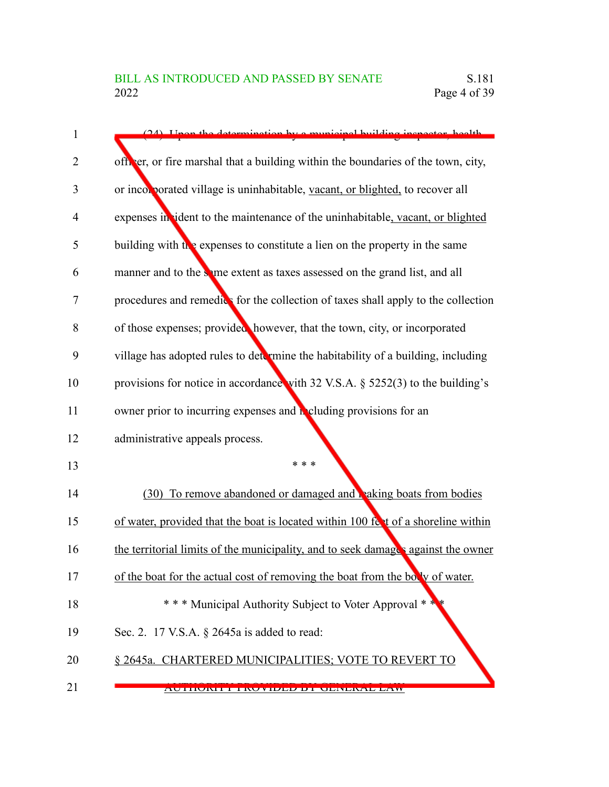| 1  | (24) I hap the determination by a municipal building increator health                  |
|----|----------------------------------------------------------------------------------------|
| 2  | officer, or fire marshal that a building within the boundaries of the town, city,      |
| 3  | or incorporated village is uninhabitable, vacant, or blighted, to recover all          |
| 4  | expenses in ident to the maintenance of the uninhabitable, vacant, or blighted         |
| 5  | building with $t_{\text{R}}$ expenses to constitute a lien on the property in the same |
| 6  | manner and to the same extent as taxes assessed on the grand list, and all             |
| 7  | procedures and remedics for the collection of taxes shall apply to the collection      |
| 8  | of those expenses; provided, however, that the town, city, or incorporated             |
| 9  | village has adopted rules to determine the habitability of a building, including       |
| 10 | provisions for notice in accordance with 32 V.S.A. § 5252(3) to the building's         |
| 11 | owner prior to incurring expenses and <b>R</b> eluding provisions for an               |
| 12 | administrative appeals process.                                                        |
| 13 | * * *                                                                                  |
| 14 | (30) To remove abandoned or damaged and raking boats from bodies                       |
| 15 | of water, provided that the boat is located within 100 feet of a shoreline within      |
| 16 | the territorial limits of the municipality, and to seek damages against the owner      |
| 17 | of the boat for the actual cost of removing the boat from the bolly of water.          |
| 18 | * * * Municipal Authority Subject to Voter Approval * *                                |
| 19 | Sec. 2. 17 V.S.A. § 2645a is added to read:                                            |
| 20 | § 2645a. CHARTERED MUNICIPALITIES; VOTE TO REVERT TO                                   |
| 21 | AU HUNTE I INVYIDIDIDI UDINDINAD LAW                                                   |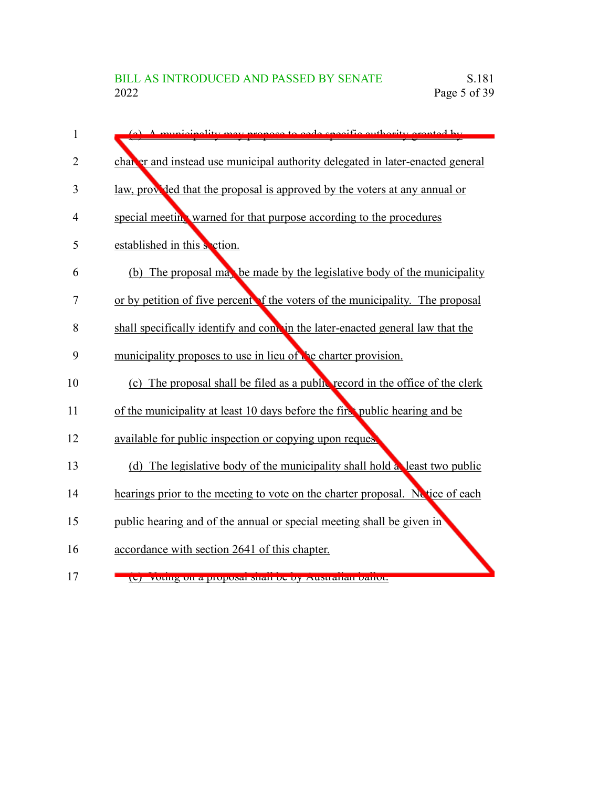| 1              | (a) A municipality may propose to each specific outpority granted by           |
|----------------|--------------------------------------------------------------------------------|
| $\overline{2}$ | chan er and instead use municipal authority delegated in later-enacted general |
| 3              | law, provided that the proposal is approved by the voters at any annual or     |
| 4              | special meeting warned for that purpose according to the procedures            |
| 5              | established in this section.                                                   |
| 6              | (b) The proposal may be made by the legislative body of the municipality       |
| 7              | or by petition of five percent of the voters of the municipality. The proposal |
| 8              | shall specifically identify and cond in the later-enacted general law that the |
| 9              | municipality proposes to use in lieu of the charter provision.                 |
| 10             | (c) The proposal shall be filed as a public record in the office of the clerk  |
| 11             | of the municipality at least 10 days before the first public hearing and be    |
| 12             | available for public inspection or copying upon request                        |
| 13             | (d) The legislative body of the municipality shall hold a least two public     |
| 14             | hearings prior to the meeting to vote on the charter proposal. Notice of each  |
| 15             | public hearing and of the annual or special meeting shall be given in          |
| 16             | accordance with section 2641 of this chapter.                                  |
|                |                                                                                |

(e) Voting on a proposal shall be by Australian ballot.

17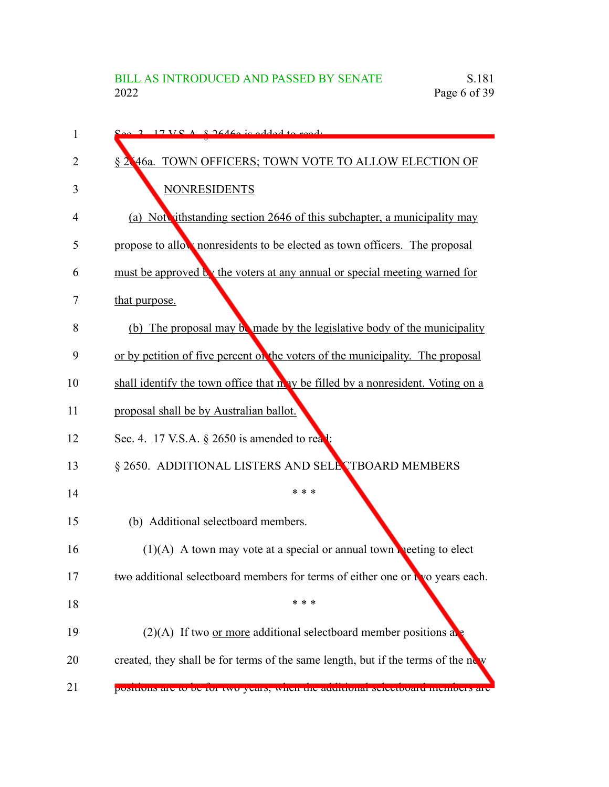| 1  |                                                                                   |
|----|-----------------------------------------------------------------------------------|
| 2  | § 2.46a. TOWN OFFICERS; TOWN VOTE TO ALLOW ELECTION OF                            |
| 3  | <b>NONRESIDENTS</b>                                                               |
| 4  | (a) Not ithstanding section 2646 of this subchapter, a municipality may           |
| 5  | propose to allow nonresidents to be elected as town officers. The proposal        |
| 6  | must be approved by the voters at any annual or special meeting warned for        |
| 7  | that purpose.                                                                     |
| 8  | (b) The proposal may be made by the legislative body of the municipality          |
| 9  | or by petition of five percent of the voters of the municipality. The proposal    |
| 10 | shall identify the town office that no be filled by a nonresident. Voting on a    |
| 11 | proposal shall be by Australian ballot.                                           |
| 12 | Sec. 4. 17 V.S.A. § 2650 is amended to read:                                      |
| 13 | § 2650. ADDITIONAL LISTERS AND SELECTBOARD MEMBERS                                |
| 14 | * * *                                                                             |
| 15 | (b) Additional selectboard members.                                               |
| 16 | $(1)(A)$ A town may vote at a special or annual town neeting to elect             |
| 17 | two additional selectboard members for terms of either one or two years each.     |
| 18 | * * *                                                                             |
| 19 | $(2)(A)$ If two or more additional selectboard member positions at                |
| 20 | created, they shall be for terms of the same length, but if the terms of the new  |
| 21 | positions are to be for two years, when the additional selectboard inclinuers are |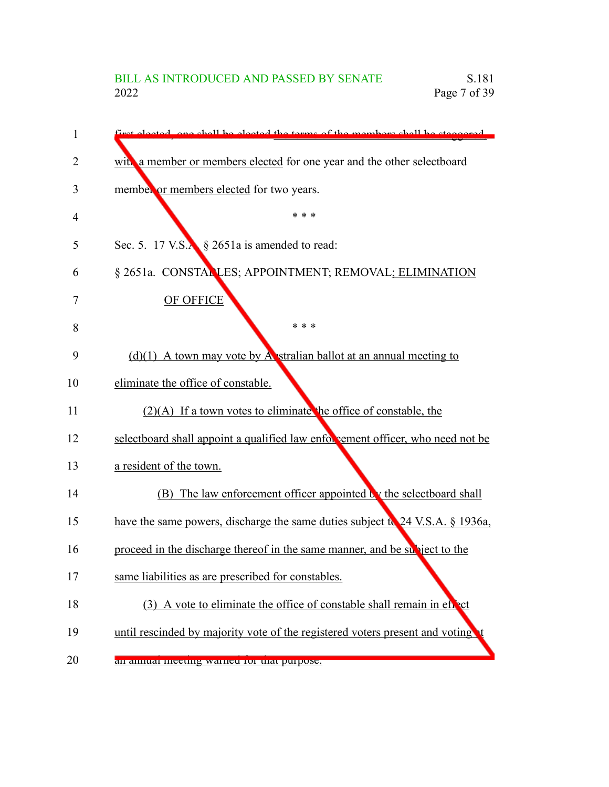| 1  | et elected and shall be elected the terms of the members shall be staggered     |
|----|---------------------------------------------------------------------------------|
| 2  | with a member or members elected for one year and the other selectboard         |
| 3  | member or members elected for two years.                                        |
| 4  | * * *                                                                           |
| 5  | Sec. 5. 17 V.S. § 2651a is amended to read:                                     |
| 6  | § 2651a. CONSTALLES; APPOINTMENT; REMOVAL; ELIMINATION                          |
| 7  | OF OFFICE                                                                       |
| 8  | * * *                                                                           |
| 9  | $(d)(1)$ A town may vote by A stralian ballot at an annual meeting to           |
| 10 | eliminate the office of constable.                                              |
| 11 | $(2)(A)$ If a town votes to eliminate the office of constable, the              |
| 12 | selectboard shall appoint a qualified law enforcement officer, who need not be  |
| 13 | a resident of the town.                                                         |
| 14 | (B) The law enforcement officer appointed by the selectboard shall              |
| 15 | have the same powers, discharge the same duties subject to $24$ V.S.A. § 1936a, |
| 16 | proceed in the discharge thereof in the same manner, and be subject to the      |
| 17 | same liabilities as are prescribed for constables.                              |
| 18 | (3) A vote to eliminate the office of constable shall remain in effect          |
| 19 | until rescinded by majority vote of the registered voters present and voting    |
| 20 | an annuar meeting warned for that purpose.                                      |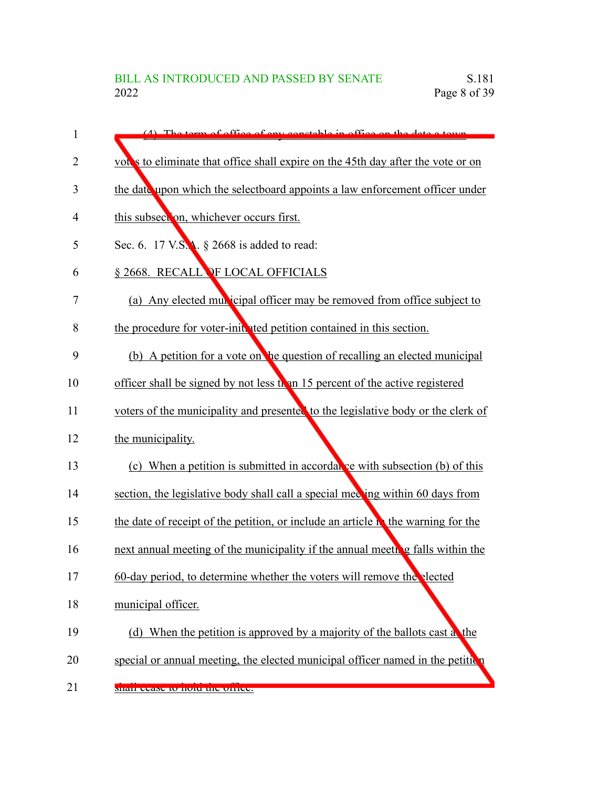| 1  | $(4)$ The term of office of env constable in office on the date a town            |
|----|-----------------------------------------------------------------------------------|
| 2  | vot's to eliminate that office shall expire on the 45th day after the vote or on  |
| 3  | the date upon which the selectboard appoints a law enforcement officer under      |
| 4  | this subsection, whichever occurs first.                                          |
| 5  | Sec. 6. 17 V.S.A. § 2668 is added to read:                                        |
| 6  | § 2668. RECALL OF LOCAL OFFICIALS                                                 |
| 7  | (a) Any elected multicipal officer may be removed from office subject to          |
| 8  | the procedure for voter-initiated petition contained in this section.             |
| 9  | (b) A petition for a vote on the question of recalling an elected municipal       |
| 10 | officer shall be signed by not less than 15 percent of the active registered      |
| 11 | voters of the municipality and presented to the legislative body or the clerk of  |
| 12 | the municipality.                                                                 |
| 13 | (c) When a petition is submitted in accordatic with subsection (b) of this        |
| 14 | section, the legislative body shall call a special meeting within 60 days from    |
| 15 | the date of receipt of the petition, or include an article in the warning for the |
| 16 | next annual meeting of the municipality if the annual meeting falls within the    |
| 17 | 60-day period, to determine whether the voters will remove the elected            |
| 18 | municipal officer.                                                                |
| 19 | (d) When the petition is approved by a majority of the ballots cast a the         |
| 20 | special or annual meeting, the elected municipal officer named in the petition    |
| 21 | shan cease to note the other.                                                     |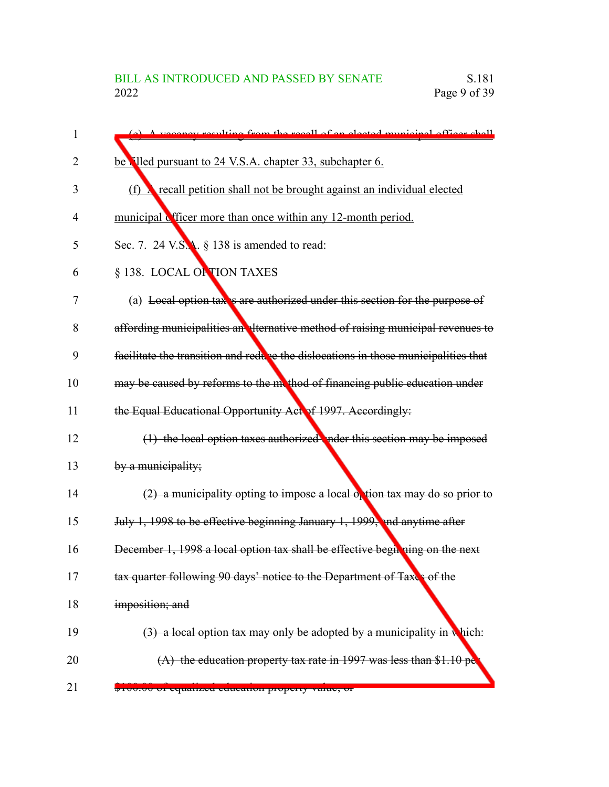| 1  | (a) A vecessey reculting from the recall of an elected municipal officer shall     |
|----|------------------------------------------------------------------------------------|
| 2  | be <b>illed</b> pursuant to 24 V.S.A. chapter 33, subchapter 6.                    |
| 3  | recall petition shall not be brought against an individual elected<br>(f)          |
| 4  | municipal officer more than once within any 12-month period.                       |
| 5  | Sec. 7. 24 V.S.A. § 138 is amended to read:                                        |
| 6  | § 138. LOCAL OF TION TAXES                                                         |
| 7  | (a) Local option tax's are authorized under this section for the purpose of        |
| 8  | affording municipalities an elternative method of raising municipal revenues to    |
| 9  | facilitate the transition and reduce the dislocations in those municipalities that |
| 10 | may be caused by reforms to the mothod of financing public education under         |
| 11 | the Equal Educational Opportunity Act of 1997. Accordingly:                        |
| 12 | $(1)$ the local option taxes authorized nder this section may be imposed           |
| 13 | by a municipality;                                                                 |
| 14 | $(2)$ a municipality opting to impose a local option tax may do so prior to        |
| 15 | July 1, 1998 to be effective beginning January 1, 1999, and anytime after          |
| 16 | December 1, 1998 a local option tax shall be effective begin ning on the next      |
| 17 | tax quarter following 90 days' notice to the Department of Taxes of the            |
| 18 | imposition; and                                                                    |
| 19 | $(3)$ a local option tax may only be adopted by a municipality in which:           |
| 20 | $(A)$ the education property tax rate in 1997 was less than \$1.10 pe              |
| 21 | <del>φτυσιου οι cquanzcu cuucanon property value, or</del>                         |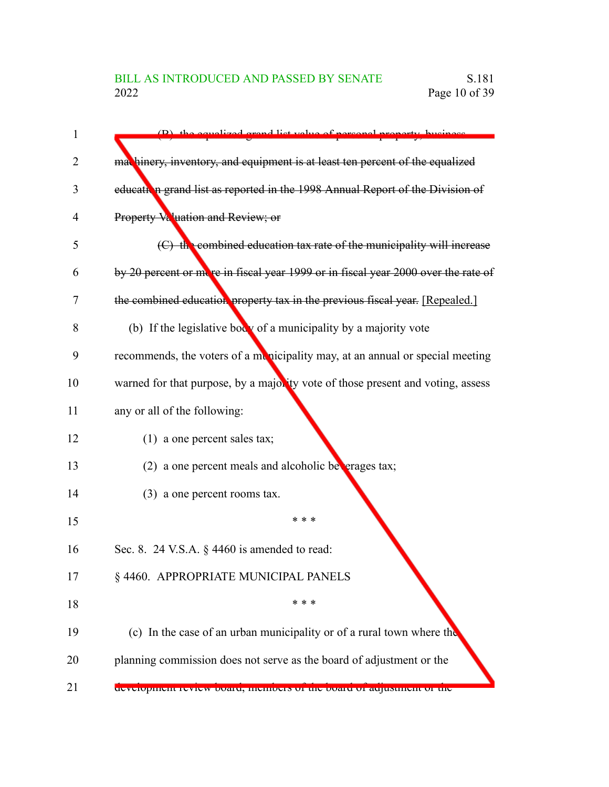| 1  | (B) the equalized grand list value of personal property business                  |
|----|-----------------------------------------------------------------------------------|
| 2  | machinery, inventory, and equipment is at least ten percent of the equalized      |
| 3  | education grand list as reported in the 1998 Annual Report of the Division of     |
| 4  | Property Valuation and Review; or                                                 |
| 5  | (C) the combined education tax rate of the municipality will increase             |
| 6  | by 20 percent or more in fiscal year 1999 or in fiscal year 2000 over the rate of |
| 7  | the combined education property tax in the previous fiscal year. [Repealed.]      |
| 8  | (b) If the legislative body of a municipality by a majority vote                  |
| 9  | recommends, the voters of a municipality may, at an annual or special meeting     |
| 10 | warned for that purpose, by a majority vote of those present and voting, assess   |
| 11 | any or all of the following:                                                      |
| 12 | $(1)$ a one percent sales tax;                                                    |
| 13 | (2) a one percent meals and alcoholic betherages tax;                             |
| 14 | $(3)$ a one percent rooms tax.                                                    |
| 15 | * * *                                                                             |
| 16 | Sec. 8. 24 V.S.A. § 4460 is amended to read:                                      |
| 17 | § 4460. APPROPRIATE MUNICIPAL PANELS                                              |
| 18 | * * *                                                                             |
| 19 | (c) In the case of an urban municipality or of a rural town where the             |
| 20 | planning commission does not serve as the board of adjustment or the              |
| 21 | development review board, members of the board of adjustment of the               |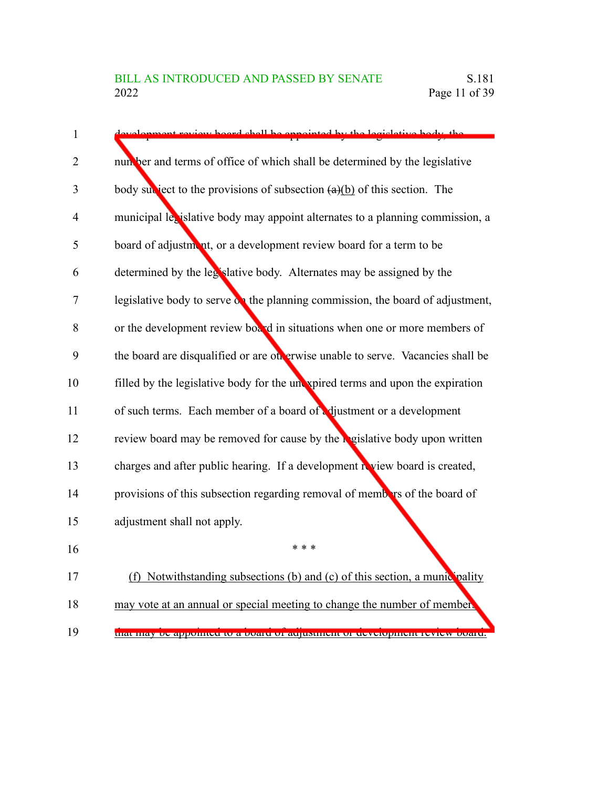| nt review hoard chall be ennounted by the legislative                             |
|-----------------------------------------------------------------------------------|
| number and terms of office of which shall be determined by the legislative        |
| body subject to the provisions of subsection $(a)(b)$ of this section. The        |
| municipal lexislative body may appoint alternates to a planning commission, a     |
| board of adjustment, or a development review board for a term to be               |
| determined by the legislative body. Alternates may be assigned by the             |
| legislative body to serve on the planning commission, the board of adjustment,    |
| or the development review board in situations when one or more members of         |
| the board are disqualified or are otherwise unable to serve. Vacancies shall be   |
| filled by the legislative body for the unexpired terms and upon the expiration    |
| of such terms. Each member of a board of edjustment or a development              |
| review board may be removed for cause by the <b>regislative</b> body upon written |
| charges and after public hearing. If a development review board is created,       |
| provisions of this subsection regarding removal of members of the board of        |
| adjustment shall not apply.                                                       |
| * * *                                                                             |
| (f) Notwithstanding subsections (b) and (c) of this section, a munic pality       |
| may vote at an annual or special meeting to change the number of members          |
| that may be appointed to a board or adjustment or development review              |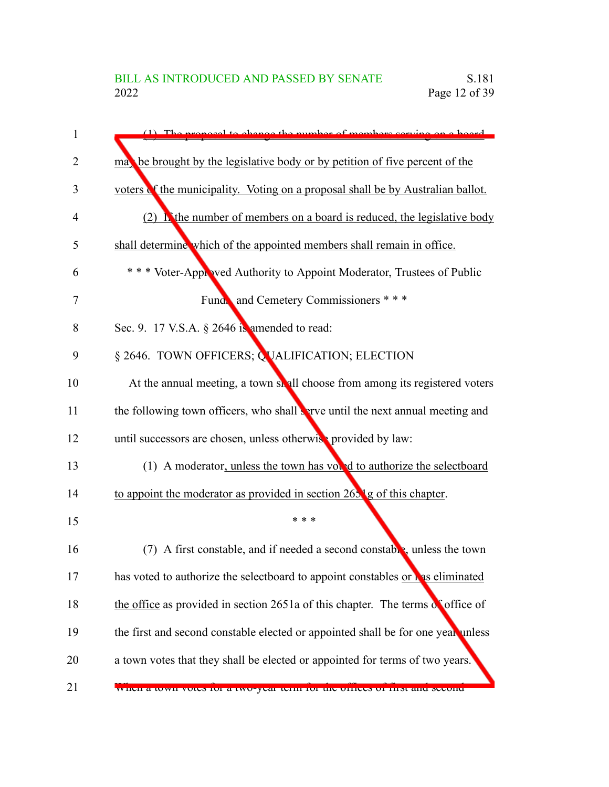| 1  | $(1)$ . The proposed to change the number of members serving on a heard             |
|----|-------------------------------------------------------------------------------------|
| 2  | may be brought by the legislative body or by petition of five percent of the        |
| 3  | voters of the municipality. Voting on a proposal shall be by Australian ballot.     |
| 4  | $(2)$ <b>N</b> the number of members on a board is reduced, the legislative body    |
| 5  | shall determine which of the appointed members shall remain in office.              |
| 6  | *** Voter-Appioved Authority to Appoint Moderator, Trustees of Public               |
| 7  | Funda and Cemetery Commissioners ***                                                |
| 8  | Sec. 9. 17 V.S.A. § 2646 is amended to read:                                        |
| 9  | § 2646. TOWN OFFICERS; QUALIFICATION; ELECTION                                      |
| 10 | At the annual meeting, a town shall choose from among its registered voters         |
| 11 | the following town officers, who shall serve until the next annual meeting and      |
| 12 | until successors are chosen, unless otherwise provided by law:                      |
| 13 | (1) A moderator, unless the town has vound to authorize the selectboard             |
| 14 | to appoint the moderator as provided in section 265 <sup>1</sup> g of this chapter. |
| 15 | * * *                                                                               |
| 16 | A first constable, and if needed a second constable, unless the town<br>(7)         |
| 17 | has voted to authorize the selectboard to appoint constables or has eliminated      |
| 18 | the office as provided in section 2651a of this chapter. The terms of office of     |
| 19 | the first and second constable elected or appointed shall be for one year unless    |
| 20 | a town votes that they shall be elected or appointed for terms of two years.        |
| 21 | WHEN a town votes for a two-year term for the offices of thist and second           |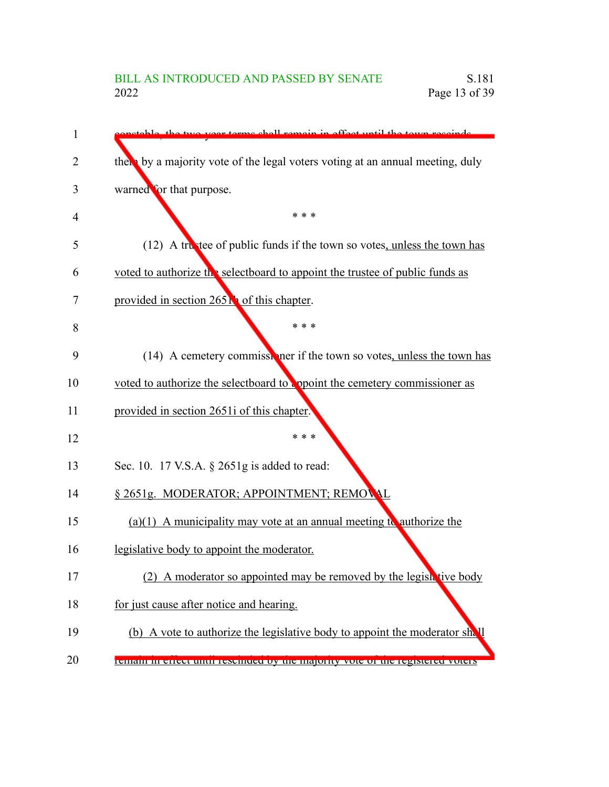# BILL AS INTRODUCED AND PASSED BY SENATE<br>2022 Page 13 of 39 Page 13 of 39

| 1  | two year terms shall remain in effect until the town rescurds                  |
|----|--------------------------------------------------------------------------------|
| 2  | there by a majority vote of the legal voters voting at an annual meeting, duly |
| 3  | warned for that purpose.                                                       |
| 4  | * * *                                                                          |
| 5  | (12) A trustee of public funds if the town so votes, unless the town has       |
| 6  | voted to authorize the selectboard to appoint the trustee of public funds as   |
| 7  | provided in section 265 <b>N</b> of this chapter.                              |
| 8  | * * *                                                                          |
| 9  | (14) A cemetery commissioner if the town so votes, unless the town has         |
| 10 | voted to authorize the selectboard to appoint the cemetery commissioner as     |
| 11 | provided in section 2651i of this chapter.                                     |
| 12 | * * *                                                                          |
| 13 | Sec. 10. 17 V.S.A. § 2651g is added to read:                                   |
| 14 | § 2651g. MODERATOR; APPOINTMENT; REMOVAL                                       |
| 15 | $(a)(1)$ A municipality may vote at an annual meeting to authorize the         |
| 16 | legislative body to appoint the moderator.                                     |
| 17 | A moderator so appointed may be removed by the legislative body                |
| 18 | for just cause after notice and hearing.                                       |
| 19 | (b) A vote to authorize the legislative body to appoint the moderator sh. I    |
| 20 | Temani in eneer until resemueu by the majority vote of the registered voters   |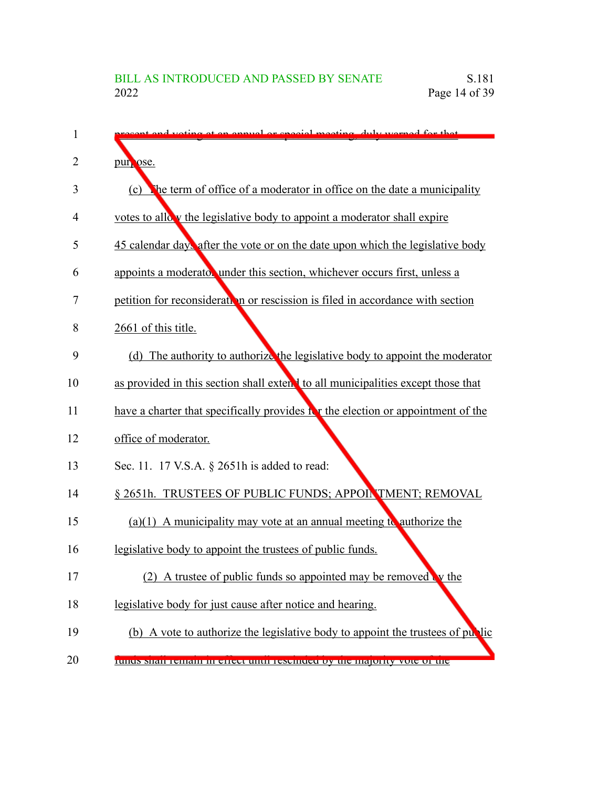| 1              | to voting at an engual or engoial meeting duly were d for that                   |
|----------------|----------------------------------------------------------------------------------|
| $\overline{2}$ | pur ose.                                                                         |
| 3              | The term of office of a moderator in office on the date a municipality<br>(c)    |
| 4              | votes to allow the legislative body to appoint a moderator shall expire          |
| 5              | 45 calendar day, after the vote or on the date upon which the legislative body   |
| 6              | appoints a moderator under this section, whichever occurs first, unless a        |
| 7              | petition for reconsideration or rescission is filed in accordance with section   |
| 8              | 2661 of this title.                                                              |
| 9              | (d) The authority to authorize the legislative body to appoint the moderator     |
| 10             | as provided in this section shall extend to all municipalities except those that |
| 11             | have a charter that specifically provides it the election or appointment of the  |
| 12             | office of moderator.                                                             |
| 13             | Sec. 11. 17 V.S.A. § 2651h is added to read:                                     |
| 14             | § 2651h. TRUSTEES OF PUBLIC FUNDS; APPOINTMENT; REMOVAL                          |
| 15             | (a)(1) A municipality may vote at an annual meeting to authorize the             |
| 16             | legislative body to appoint the trustees of public funds.                        |
| 17             | (2) A trustee of public funds so appointed may be removed $\mathbf{\cdot}$ w the |
| 18             | legislative body for just cause after notice and hearing.                        |
| 19             | (b) A vote to authorize the legislative body to appoint the trustees of public   |
| 20             | runus snan remain in erreer unur resemueu by the majority vote of the            |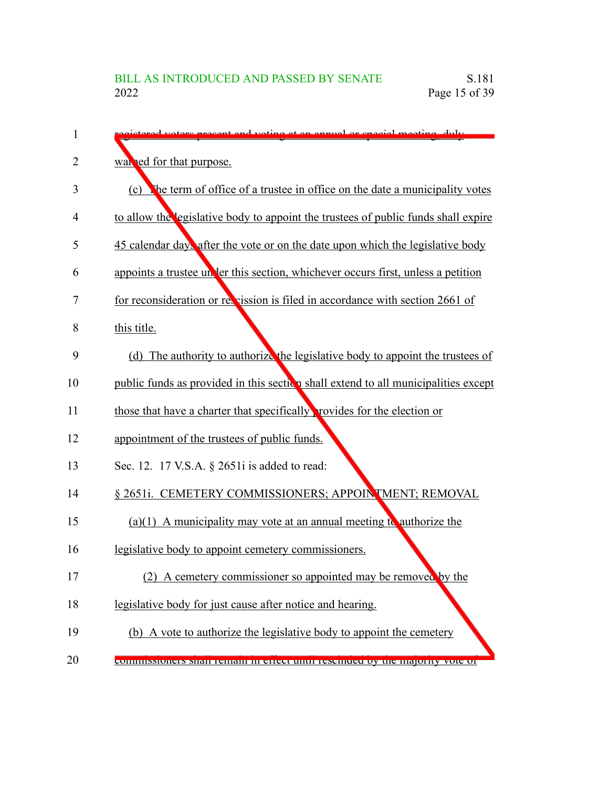| 1  | voters present and voting at an annual or special meeting duly                     |
|----|------------------------------------------------------------------------------------|
| 2  | war red for that purpose.                                                          |
| 3  | The term of office of a trustee in office on the date a municipality votes<br>(c)  |
| 4  | to allow the legislative body to appoint the trustees of public funds shall expire |
| 5  | 45 calendar day after the vote or on the date upon which the legislative body      |
| 6  | appoints a trustee un ler this section, whichever occurs first, unless a petition  |
| 7  | for reconsideration or revealishing is filed in accordance with section 2661 of    |
| 8  | this title.                                                                        |
| 9  | (d) The authority to authorize the legislative body to appoint the trustees of     |
| 10 | public funds as provided in this section shall extend to all municipalities except |
| 11 | those that have a charter that specifically provides for the election or           |
| 12 | appointment of the trustees of public funds.                                       |
| 13 | Sec. 12. 17 V.S.A. § 2651i is added to read:                                       |
| 14 | § 2651i. CEMETERY COMMISSIONERS; APPOINTMENT; REMOVAL                              |
| 15 | $(a)(1)$ A municipality may vote at an annual meeting to authorize the             |
| 16 | legislative body to appoint cemetery commissioners.                                |
| 17 | (2) A cemetery commissioner so appointed may be removed by the                     |
| 18 | legislative body for just cause after notice and hearing.                          |
| 19 | (b) A vote to authorize the legislative body to appoint the cemetery               |
| 20 | COMMISSIONERS SHAN TEMAMENT CHECK CARDI TESCHICLE DY THE MAJORITY VOIC OF          |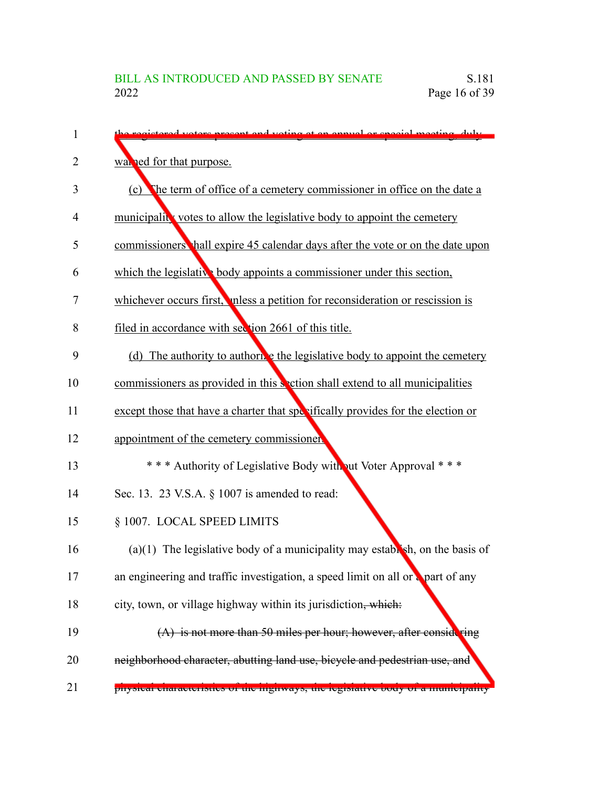| 1  | ictored voters present and voting at an annual or special meeting duly                   |
|----|------------------------------------------------------------------------------------------|
| 2  | was red for that purpose.                                                                |
| 3  | The term of office of a cemetery commissioner in office on the date a<br>(c)             |
| 4  | municipality votes to allow the legislative body to appoint the cemetery                 |
| 5  | commissioners hall expire 45 calendar days after the vote or on the date upon            |
| 6  | which the legislative body appoints a commissioner under this section,                   |
| 7  | whichever occurs first, these a petition for reconsideration or rescission is            |
| 8  | filed in accordance with section 2661 of this title.                                     |
| 9  | (d) The authority to authorize the legislative body to appoint the cemetery              |
| 10 | commissioners as provided in this section shall extend to all municipalities             |
| 11 | except those that have a charter that specifically provides for the election or          |
| 12 | appointment of the cemetery commissioner                                                 |
| 13 | *** Authority of Legislative Body without Voter Approval ***                             |
| 14 | Sec. 13. 23 V.S.A. § 1007 is amended to read:                                            |
| 15 | § 1007. LOCAL SPEED LIMITS                                                               |
| 16 | $(a)(1)$ The legislative body of a municipality may establish, on the basis of           |
| 17 | an engineering and traffic investigation, a speed limit on all or $\epsilon$ part of any |
| 18 | city, town, or village highway within its jurisdiction, which:                           |
| 19 | $(A)$ is not more than 50 miles per hour; however, after considering                     |
| 20 | neighborhood character, abutting land use, bicycle and pedestrian use, and               |
| 21 | physical characteristics of the mighways, the legislative body of a mumerpanty           |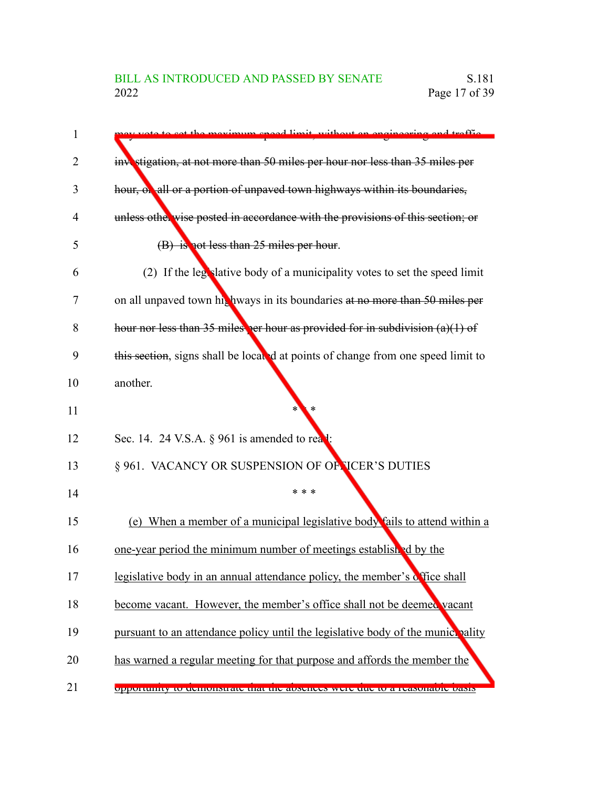| 1  | vote to get the meximum speed limit, without an engineering and traffic          |
|----|----------------------------------------------------------------------------------|
| 2  | investigation, at not more than 50 miles per hour nor less than 35 miles per     |
| 3  | hour, or all or a portion of unpaved town highways within its boundaries,        |
| 4  | unless otherwise posted in accordance with the provisions of this section; or    |
| 5  | (B) is not less than 25 miles per hour.                                          |
| 6  | (2) If the legislative body of a municipality votes to set the speed limit       |
| 7  | on all unpaved town his hways in its boundaries at no more than 50 miles per     |
| 8  | hour nor less than 35 miles per hour as provided for in subdivision $(a)(1)$ of  |
| 9  | this section, signs shall be located at points of change from one speed limit to |
| 10 | another.                                                                         |
| 11 | ∗                                                                                |
| 12 | Sec. 14. 24 V.S.A. $\S$ 961 is amended to read:                                  |
| 13 | § 961. VACANCY OR SUSPENSION OF OF JCER'S DUTIES                                 |
| 14 | * * *                                                                            |
| 15 | (e) When a member of a municipal legislative body fails to attend within a       |
| 16 | one-year period the minimum number of meetings established by the                |
| 17 | legislative body in an annual attendance policy, the member's difice shall       |
| 18 | become vacant. However, the member's office shall not be deemed vacant           |
| 19 | pursuant to an attendance policy until the legislative body of the municroality  |
| 20 | has warned a regular meeting for that purpose and affords the member the         |
| 21 | opportunity to demonstrate that the absences were due to a reasonable basis      |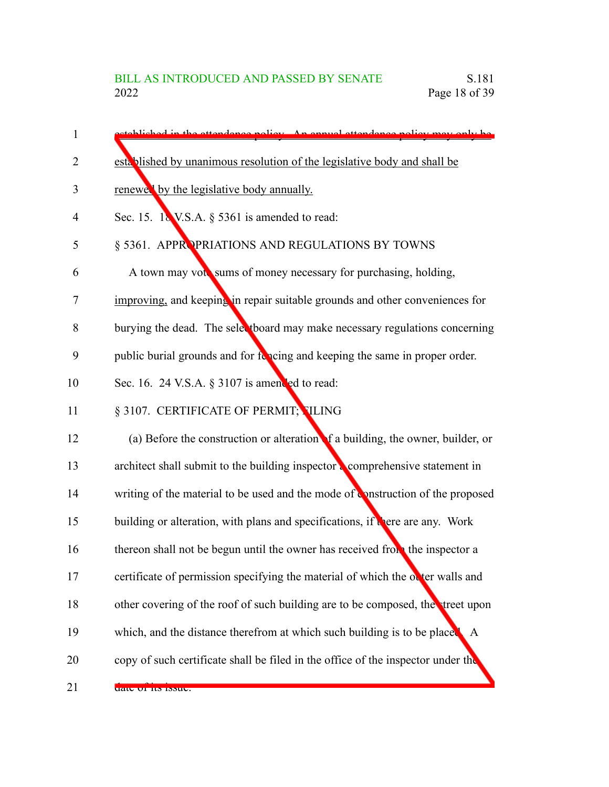| 1              | etablished in the attendance noticy. An annual attendance noticy may only be          |
|----------------|---------------------------------------------------------------------------------------|
| $\overline{2}$ | established by unanimous resolution of the legislative body and shall be              |
| 3              | renewed by the legislative body annually.                                             |
| 4              | Sec. 15. $18$ V.S.A. § 5361 is amended to read:                                       |
| 5              | § 5361. APPROPRIATIONS AND REGULATIONS BY TOWNS                                       |
| 6              | A town may vote sums of money necessary for purchasing, holding,                      |
| 7              | improving, and keeping in repair suitable grounds and other conveniences for          |
| 8              | burying the dead. The selectboard may make necessary regulations concerning           |
| 9              | public burial grounds and for forcing and keeping the same in proper order.           |
| 10             | Sec. 16. 24 V.S.A. § 3107 is amended to read:                                         |
| 11             | § 3107. CERTIFICATE OF PERMIT; TLING                                                  |
| 12             | (a) Before the construction or alteration of a building, the owner, builder, or       |
| 13             | architect shall submit to the building inspector a comprehensive statement in         |
| 14             | writing of the material to be used and the mode of <b>Onstruction</b> of the proposed |
| 15             | building or alteration, with plans and specifications, if there are any. Work         |
| 16             | thereon shall not be begun until the owner has received from the inspector a          |
| 17             | certificate of permission specifying the material of which the outer walls and        |
| 18             | other covering of the roof of such building are to be composed, the treet upon        |
| 19             | which, and the distance therefrom at which such building is to be placed. A           |
| 20             | copy of such certificate shall be filed in the office of the inspector under the      |
| 21             | uate of its issue.                                                                    |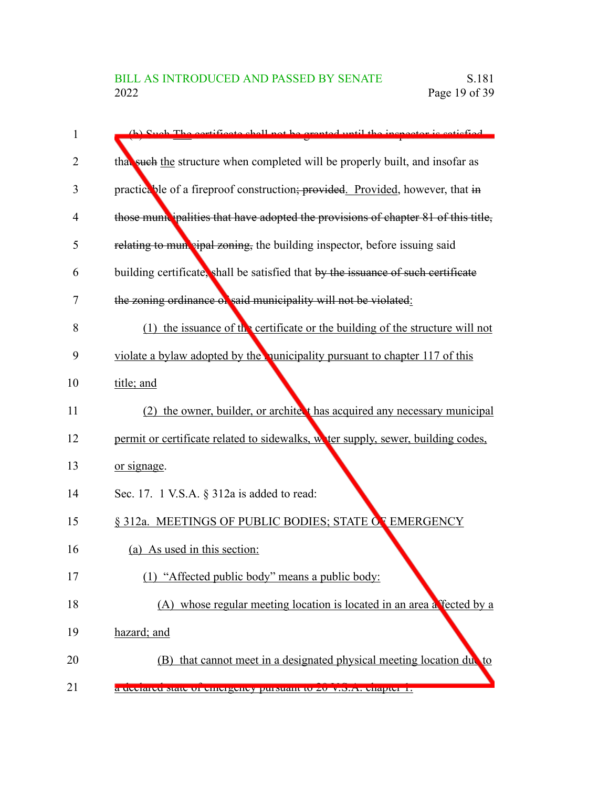| 1              | (b) Such The cortificate shall not be granted until the inspector is setiated      |
|----------------|------------------------------------------------------------------------------------|
| $\overline{2}$ | that such the structure when completed will be properly built, and insofar as      |
| 3              | practicable of a fireproof construction; provided. Provided, however, that in      |
| 4              | those municipalities that have adopted the provisions of chapter 81 of this title, |
| 5              | relating to mun cipal zoning, the building inspector, before issuing said          |
| 6              | building certificate, shall be satisfied that by the issuance of such certificate  |
| 7              | the zoning ordinance of said municipality will not be violated:                    |
| 8              | the issuance of the certificate or the building of the structure will not<br>(1)   |
| 9              | violate a bylaw adopted by the nunicipality pursuant to chapter 117 of this        |
| 10             | title; and                                                                         |
| 11             | (2) the owner, builder, or architect has acquired any necessary municipal          |
| 12             | permit or certificate related to sidewalks, water supply, sewer, building codes,   |
| 13             | or signage.                                                                        |
| 14             | Sec. 17. 1 V.S.A. § 312a is added to read:                                         |
| 15             | § 312a. MEETINGS OF PUBLIC BODIES; STATE OF EMERGENCY                              |
| 16             | (a) As used in this section:                                                       |
| 17             | (1) "Affected public body" means a public body:                                    |
| 18             | (A) whose regular meeting location is located in an area a fected by a             |
| 19             | hazard; and                                                                        |
| 20             | that cannot meet in a designated physical meeting location due to<br>(B)           |
| 21             | a ucciareu state or emergency pursuant to zo v.s.A. chapter 1.                     |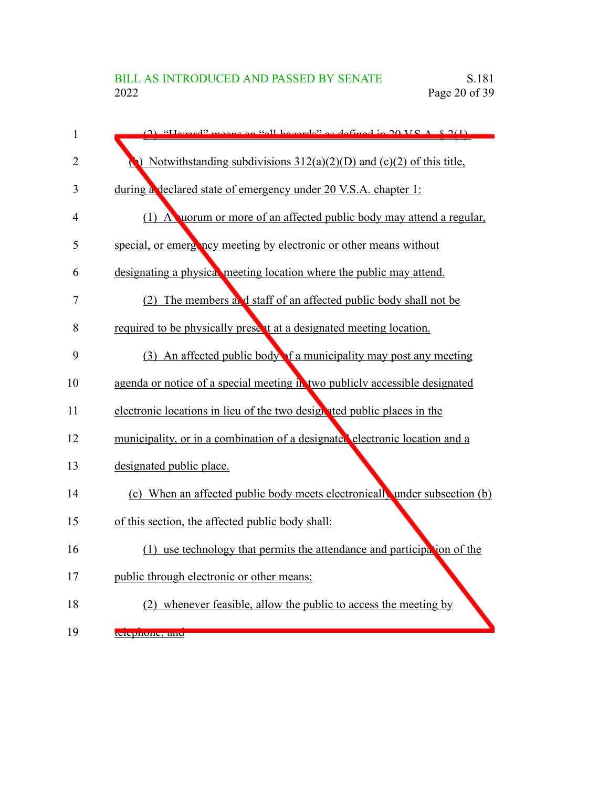| $\mathbf{1}$   | $(2)$ "Hazard" means an "all hazards" as defined in 20 VS $A \times 2(1)$     |
|----------------|-------------------------------------------------------------------------------|
| $\overline{2}$ | $\bullet$ Notwithstanding subdivisions 312(a)(2)(D) and (c)(2) of this title, |
| 3              | during a declared state of emergency under 20 V.S.A. chapter 1:               |
| $\overline{4}$ | (1) A worum or more of an affected public body may attend a regular,          |
| 5              | special, or emergincy meeting by electronic or other means without            |
| 6              | designating a physical meeting location where the public may attend.          |
| 7              | (2) The members and staff of an affected public body shall not be             |
| 8              | required to be physically present at a designated meeting location.           |
| 9              | (3) An affected public body of a municipality may post any meeting            |
| 10             | agenda or notice of a special meeting in two publicly accessible designated   |
| 11             | electronic locations in lieu of the two designated public places in the       |
| 12             | municipality, or in a combination of a designated electronic location and a   |
| 13             | designated public place.                                                      |
| 14             | (c) When an affected public body meets electronically under subsection (b)    |
| 15             | of this section, the affected public body shall:                              |
| 16             | (1) use technology that permits the attendance and participation of the       |
| 17             | public through electronic or other means;                                     |
| 18             | (2) whenever feasible, allow the public to access the meeting by              |
| 19             | плерноне, ани                                                                 |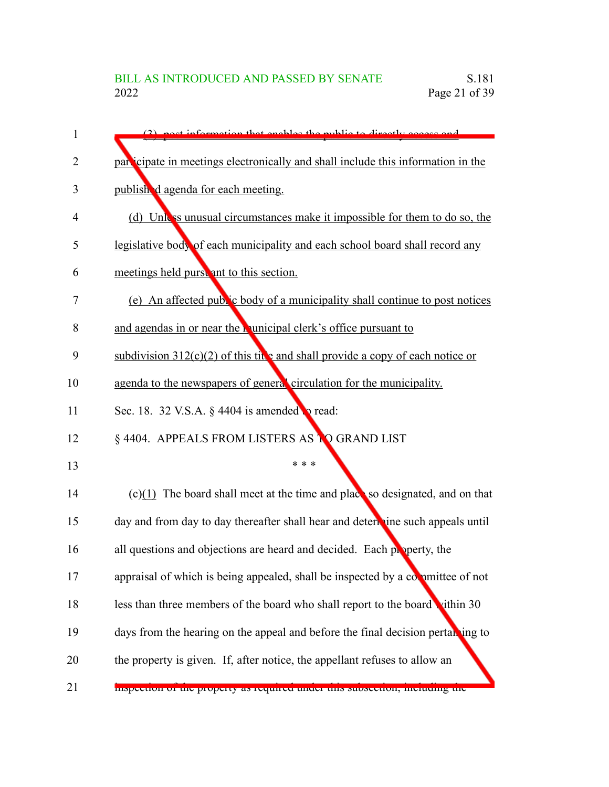| 1              | (2) nost information that enables the public to directly access and              |
|----------------|----------------------------------------------------------------------------------|
| $\overline{2}$ | participate in meetings electronically and shall include this information in the |
| 3              | published agenda for each meeting.                                               |
| 4              | (d) Unless unusual circumstances make it impossible for them to do so, the       |
| 5              | legislative body of each municipality and each school board shall record any     |
| 6              | meetings held purst ant to this section.                                         |
| 7              | (e) An affected public body of a municipality shall continue to post notices     |
| 8              | and agendas in or near the <b>Nunicipal clerk's</b> office pursuant to           |
| 9              | subdivision $312(c)(2)$ of this tive and shall provide a copy of each notice or  |
| 10             | agenda to the newspapers of general circulation for the municipality.            |
| 11             | Sec. 18. 32 V.S.A. § 4404 is amended <b>b</b> read:                              |
| 12             | § 4404. APPEALS FROM LISTERS AS TO GRAND LIST                                    |
| 13             | * * *                                                                            |
| 14             | $(c)(1)$ The board shall meet at the time and place so designated, and on that   |
| 15             | day and from day to day thereafter shall hear and determine such appeals until   |
| 16             | all questions and objections are heard and decided. Each property, the           |
| 17             | appraisal of which is being appealed, shall be inspected by a committee of not   |
| 18             | less than three members of the board who shall report to the board vithin 30     |
| 19             | days from the hearing on the appeal and before the final decision pertanting to  |
| 20             | the property is given. If, after notice, the appellant refuses to allow an       |
| 21             | inspection or the property as required under this subsection, including the      |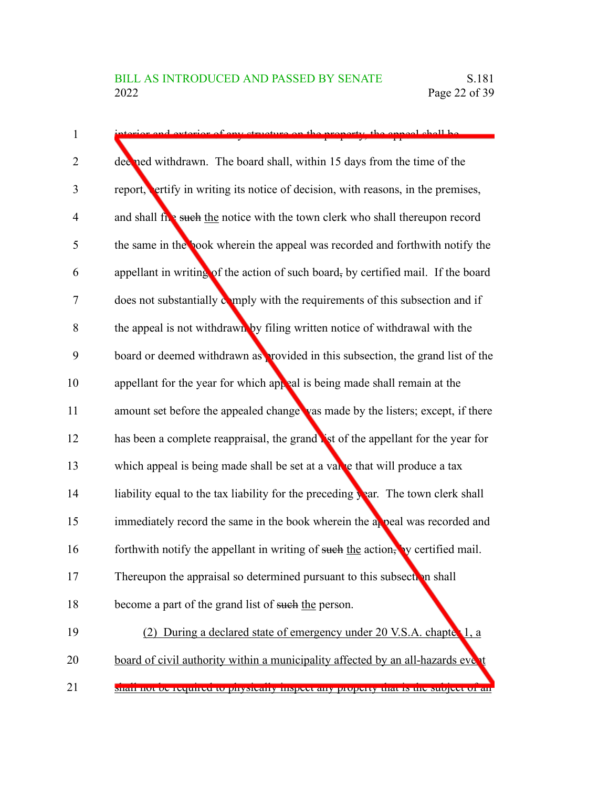| $\mathbf{1}$   | of government on the property the eppeal chall be                                             |
|----------------|-----------------------------------------------------------------------------------------------|
| $\overline{2}$ | deerned withdrawn. The board shall, within 15 days from the time of the                       |
| 3              | report, ertify in writing its notice of decision, with reasons, in the premises,              |
| $\overline{4}$ | and shall five such the notice with the town clerk who shall thereupon record                 |
| 5              | the same in the book wherein the appeal was recorded and forthwith notify the                 |
| 6              | appellant in writing of the action of such board, by certified mail. If the board             |
| 7              | does not substantially comply with the requirements of this subsection and if                 |
| 8              | the appeal is not withdrawn by filing written notice of withdrawal with the                   |
| 9              | board or deemed withdrawn as provided in this subsection, the grand list of the               |
| 10             | appellant for the year for which appeal is being made shall remain at the                     |
| 11             | amount set before the appealed change vas made by the listers; except, if there               |
| 12             | has been a complete reappraisal, the grand ist of the appellant for the year for              |
| 13             | which appeal is being made shall be set at a varke that will produce a tax                    |
| 14             | liability equal to the tax liability for the preceding $\frac{1}{2}$ ar. The town clerk shall |
| 15             | immediately record the same in the book wherein the appeal was recorded and                   |
| 16             | forthwith notify the appellant in writing of such the action, by certified mail.              |
| 17             | Thereupon the appraisal so determined pursuant to this subsection shall                       |
| 18             | become a part of the grand list of such the person.                                           |
| 19             | (2) During a declared state of emergency under 20 V.S.A. chapter 1, a                         |
| 20             | board of civil authority within a municipality affected by an all-hazards event               |
|                | shan not be required to physicany inspect any property that is the subject of an              |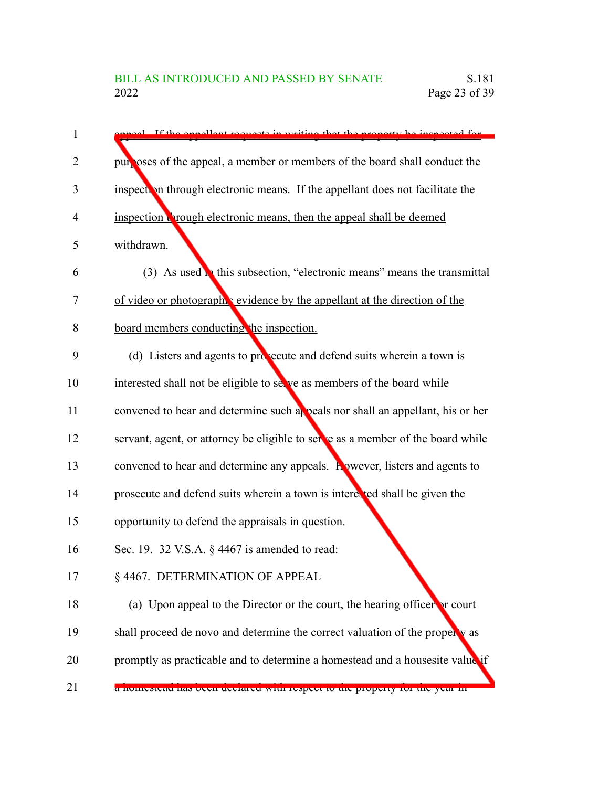| 1  | neel If the ennellent requests in writing that the property be inspected for       |
|----|------------------------------------------------------------------------------------|
| 2  | pur oses of the appeal, a member or members of the board shall conduct the         |
| 3  | inspection through electronic means. If the appellant does not facilitate the      |
| 4  | inspection wrough electronic means, then the appeal shall be deemed                |
| 5  | withdrawn.                                                                         |
| 6  | (3) As used <b>h</b> this subsection, "electronic means" means the transmittal     |
| 7  | of video or photograph vevidence by the appellant at the direction of the          |
| 8  | board members conducting the inspection.                                           |
| 9  | (d) Listers and agents to prosecute and defend suits wherein a town is             |
| 10 | interested shall not be eligible to selve as members of the board while            |
| 11 | convened to hear and determine such appeals nor shall an appellant, his or her     |
| 12 | servant, agent, or attorney be eligible to serve as a member of the board while    |
| 13 | convened to hear and determine any appeals. <b>Rowever</b> , listers and agents to |
| 14 | prosecute and defend suits wherein a town is intered ted shall be given the        |
| 15 | opportunity to defend the appraisals in question.                                  |
| 16 | Sec. 19. 32 V.S.A. § 4467 is amended to read:                                      |
| 17 | § 4467. DETERMINATION OF APPEAL                                                    |
| 18 | (a) Upon appeal to the Director or the court, the hearing officer or court         |
| 19 | shall proceed de novo and determine the correct valuation of the property as       |
| 20 | promptly as practicable and to determine a homestead and a housesite value if      |
| 21 | a nomesteau nas ocen ucerareu with respect to the property for the year in         |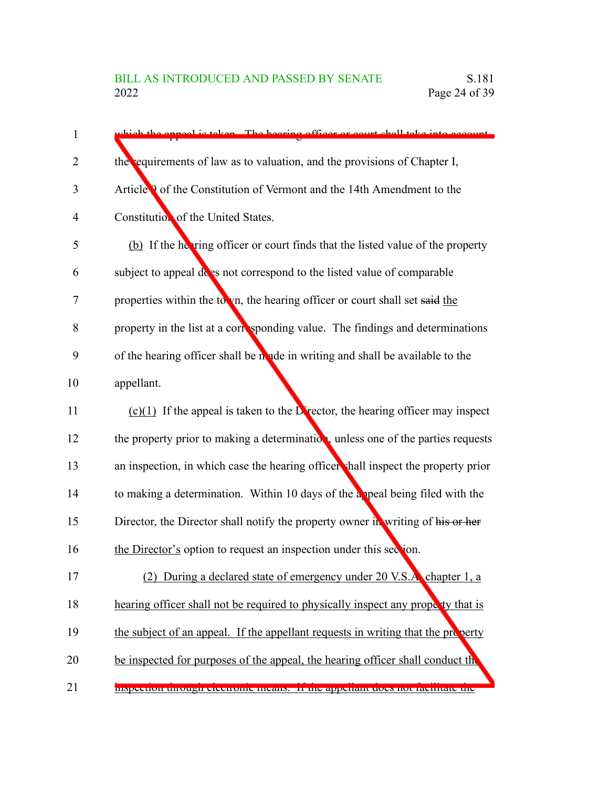| 1              | which the enneal is taken. The begring officer or court shall take into account   |
|----------------|-----------------------------------------------------------------------------------|
| $\overline{2}$ | the equirements of law as to valuation, and the provisions of Chapter I,          |
| 3              | Article <b>Q</b> of the Constitution of Vermont and the 14th Amendment to the     |
| 4              | Constitution of the United States.                                                |
| 5              | (b) If the hering officer or court finds that the listed value of the property    |
| 6              | subject to appeal does not correspond to the listed value of comparable           |
| 7              | properties within the town, the hearing officer or court shall set said the       |
| 8              | property in the list at a corresponding value. The findings and determinations    |
| 9              | of the hearing officer shall be made in writing and shall be available to the     |
| 10             | appellant.                                                                        |
| 11             | $(c)(1)$ If the appeal is taken to the Director, the hearing officer may inspect  |
| 12             | the property prior to making a determination, unless one of the parties requests  |
| 13             | an inspection, in which case the hearing officer shall inspect the property prior |
| 14             | to making a determination. Within 10 days of the appeal being filed with the      |
| 15             | Director, the Director shall notify the property owner in writing of his or her   |
| 16             | the Director's option to request an inspection under this section.                |
| 17             | During a declared state of emergency under 20 V.S.A. chapter 1, a<br>(2)          |
| 18             | hearing officer shall not be required to physically inspect any property that is  |
| 19             | the subject of an appeal. If the appellant requests in writing that the property  |
| 20             | be inspected for purposes of the appeal, the hearing officer shall conduct the    |
| 21             | mspection unough electronic means. In the appenant tiocs not racintate the        |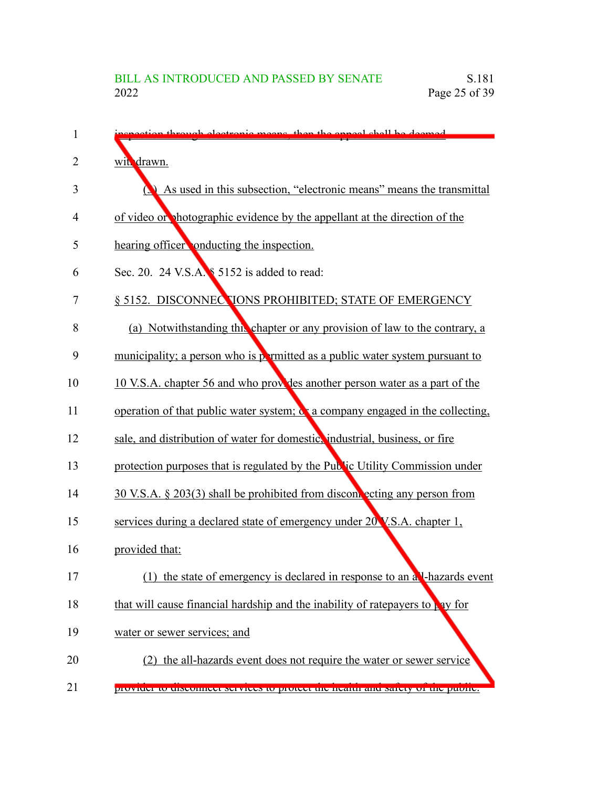| 1              | tion through electronic means then the anneal shall be deemed                    |
|----------------|----------------------------------------------------------------------------------|
| $\overline{2}$ | wit drawn.                                                                       |
| 3              | As used in this subsection, "electronic means" means the transmittal             |
| 4              | of video or photographic evidence by the appellant at the direction of the       |
| 5              | hearing officer onducting the inspection.                                        |
| 6              | Sec. 20. 24 V.S.A. § 5152 is added to read:                                      |
| 7              | § 5152. DISCONNECTIONS PROHIBITED; STATE OF EMERGENCY                            |
| 8              | (a) Notwithstanding this chapter or any provision of law to the contrary, a      |
| 9              | municipality; a person who is permitted as a public water system pursuant to     |
| 10             | 10 V.S.A. chapter 56 and who provides another person water as a part of the      |
| 11             | operation of that public water system; or a company engaged in the collecting,   |
| 12             | sale, and distribution of water for domestic, industrial, business, or fire      |
| 13             | protection purposes that is regulated by the Public Utility Commission under     |
| 14             | 30 V.S.A. § 203(3) shall be prohibited from discome ecting any person from       |
| 15             | services during a declared state of emergency under 20 V.S.A. chapter 1,         |
| 16             | provided that:                                                                   |
| 17             | the state of emergency is declared in response to an all-hazards event<br>(1)    |
| 18             | that will cause financial hardship and the inability of ratepayers to pay for    |
| 19             | water or sewer services; and                                                     |
| 20             | (2) the all-hazards event does not require the water or sewer service            |
| 21             | provider to disconficer services to protect the nearth and safety of the public. |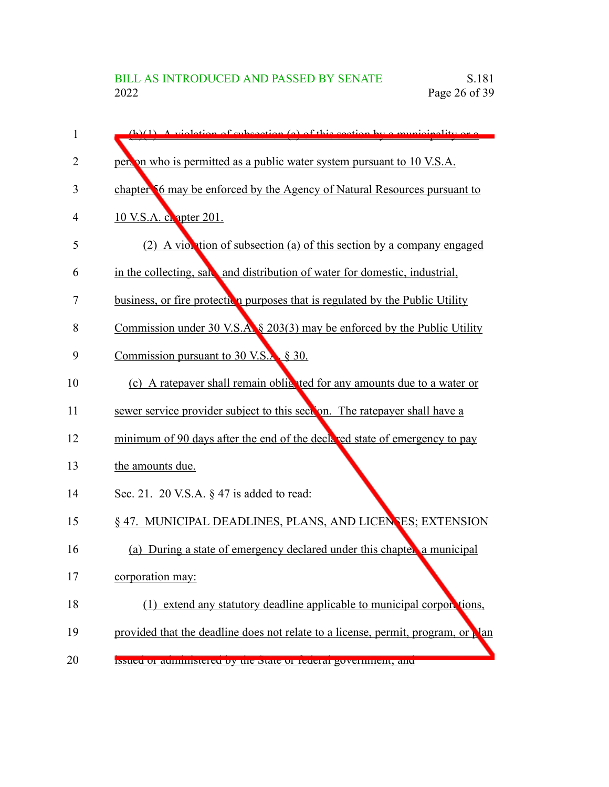| 1  | $(h)(1)$ A violation of expection (a) of this section by a municipality or a            |
|----|-----------------------------------------------------------------------------------------|
| 2  | pers on who is permitted as a public water system pursuant to 10 V.S.A.                 |
| 3  | chapter 56 may be enforced by the Agency of Natural Resources pursuant to               |
| 4  | 10 V.S.A. c. apter 201.                                                                 |
| 5  | (2) A violation of subsection (a) of this section by a company engaged                  |
| 6  | in the collecting, sak, and distribution of water for domestic, industrial,             |
| 7  | business, or fire protection purposes that is regulated by the Public Utility           |
| 8  | Commission under 30 V.S.A. § 203(3) may be enforced by the Public Utility               |
| 9  | Commission pursuant to $30 \text{ V.S.}$ § 30.                                          |
| 10 | (c) A ratepayer shall remain oblighted for any amounts due to a water or                |
| 11 | sewer service provider subject to this section. The ratepayer shall have a              |
| 12 | minimum of 90 days after the end of the declared state of emergency to pay              |
| 13 | the amounts due.                                                                        |
| 14 | Sec. 21. 20 V.S.A. $\S$ 47 is added to read:                                            |
| 15 | § 47. MUNICIPAL DEADLINES, PLANS, AND LICENSES; EXTENSION                               |
| 16 | During a state of emergency declared under this chapter a municipal<br>(a)              |
| 17 | corporation may:                                                                        |
| 18 | (1) extend any statutory deadline applicable to municipal corportions,                  |
| 19 | provided that the deadline does not relate to a license, permit, program, or <b>Nam</b> |
| 20 | ISSUEU OF AUHHHSTEITU DY THE STATE OF IEUCHAI ZOVEHHHEIN, AHU                           |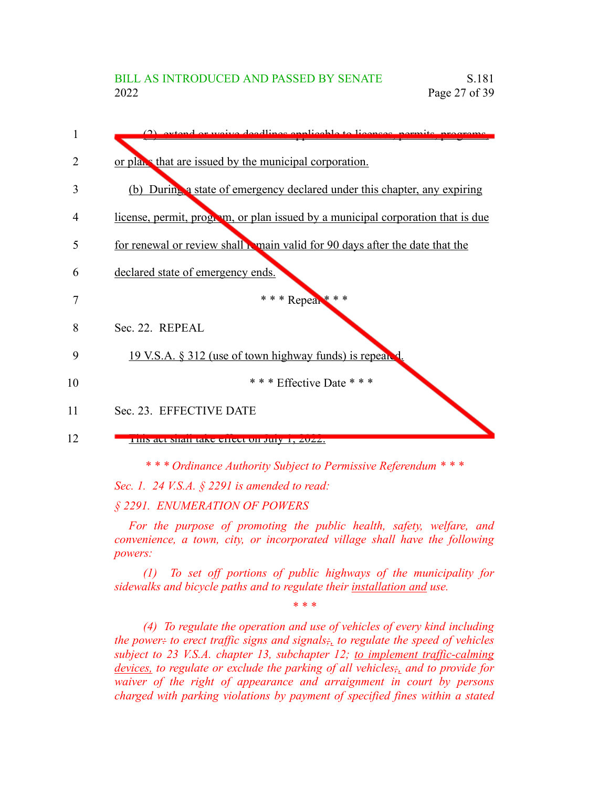

*\* \* \* Ordinance Authority Subject to Permissive Referendum \* \* \**

*Sec. 1. 24 V.S.A. § 2291 is amended to read:*

*§ 2291. ENUMERATION OF POWERS*

*For the purpose of promoting the public health, safety, welfare, and convenience, a town, city, or incorporated village shall have the following powers:*

*(1) To set off portions of public highways of the municipality for sidewalks and bicycle paths and to regulate their installation and use.*

*\* \* \**

*(4) To regulate the operation and use of vehicles of every kind including the power: to erect traffic signs and signals;, to regulate the speed of vehicles subject to 23 V.S.A. chapter 13, subchapter 12; to implement traffic-calming devices, to regulate or exclude the parking of all vehicles;, and to provide for waiver of the right of appearance and arraignment in court by persons charged with parking violations by payment of specified fines within a stated*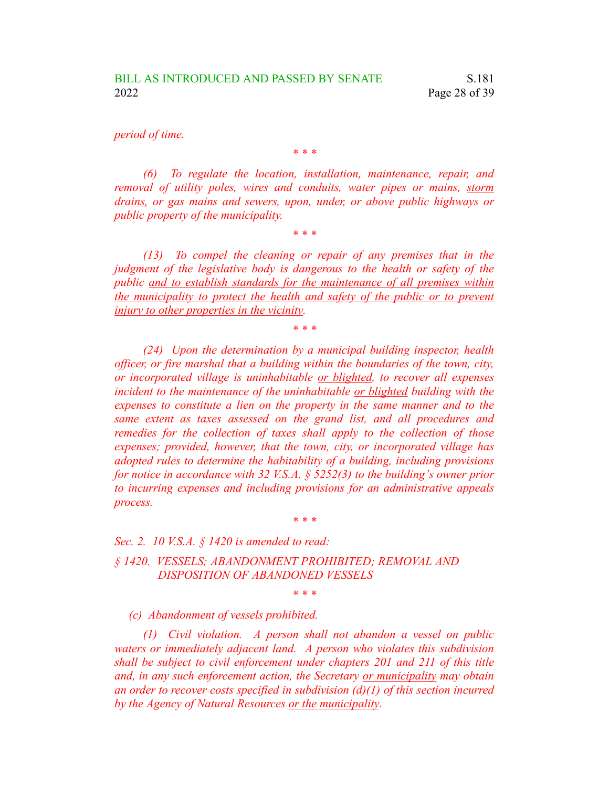*period of time.*

*(6) To regulate the location, installation, maintenance, repair, and removal of utility poles, wires and conduits, water pipes or mains, storm drains, or gas mains and sewers, upon, under, or above public highways or public property of the municipality.*

*\* \* \**

*\* \* \**

*(13) To compel the cleaning or repair of any premises that in the judgment of the legislative body is dangerous to the health or safety of the public and to establish standards for the maintenance of all premises within the municipality to protect the health and safety of the public or to prevent injury to other properties in the vicinity.*

*\* \* \**

*(24) Upon the determination by a municipal building inspector, health officer, or fire marshal that a building within the boundaries of the town, city, or incorporated village is uninhabitable or blighted, to recover all expenses incident to the maintenance of the uninhabitable or blighted building with the expenses to constitute a lien on the property in the same manner and to the same extent as taxes assessed on the grand list, and all procedures and remedies for the collection of taxes shall apply to the collection of those expenses; provided, however, that the town, city, or incorporated village has adopted rules to determine the habitability of a building, including provisions for notice in accordance with 32 V.S.A. § 5252(3) to the building's owner prior to incurring expenses and including provisions for an administrative appeals process.*

*\* \* \**

*\* \* \**

*Sec. 2. 10 V.S.A. § 1420 is amended to read:*

*§ 1420. VESSELS; ABANDONMENT PROHIBITED; REMOVAL AND DISPOSITION OF ABANDONED VESSELS*

*(c) Abandonment of vessels prohibited.*

*(1) Civil violation. A person shall not abandon a vessel on public waters or immediately adjacent land. A person who violates this subdivision shall be subject to civil enforcement under chapters 201 and 211 of this title and, in any such enforcement action, the Secretary or municipality may obtain an order to recover costs specified in subdivision (d)(1) of this section incurred by the Agency of Natural Resources or the municipality.*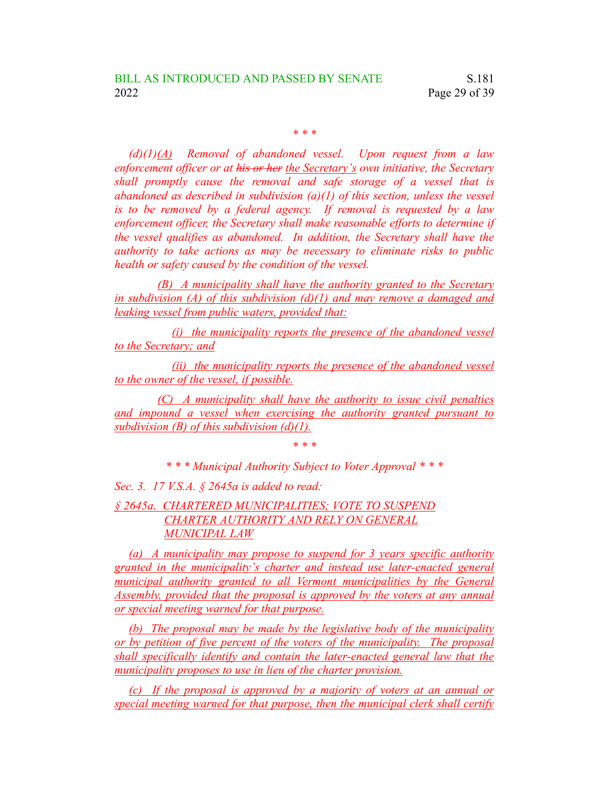*\* \* \**

*(d)(1)(A) Removal of abandoned vessel. Upon request from a law enforcement officer or at his or her the Secretary's own initiative, the Secretary shall promptly cause the removal and safe storage of a vessel that is abandoned as described in subdivision (a)(1) of this section, unless the vessel is to be removed by a federal agency. If removal is requested by a law enforcement officer, the Secretary shall make reasonable efforts to determine if the vessel qualifies as abandoned. In addition, the Secretary shall have the authority to take actions as may be necessary to eliminate risks to public health or safety caused by the condition of the vessel.*

*(B) A municipality shall have the authority granted to the Secretary in subdivision (A) of this subdivision (d)(1) and may remove a damaged and leaking vessel from public waters, provided that:*

*(i) the municipality reports the presence of the abandoned vessel to the Secretary; and*

*(ii) the municipality reports the presence of the abandoned vessel to the owner of the vessel, if possible.*

*(C) A municipality shall have the authority to issue civil penalties and impound a vessel when exercising the authority granted pursuant to subdivision (B) of this subdivision (d)(1).*

*\* \* \**

*\* \* \* Municipal Authority Subject to Voter Approval \* \* \**

*Sec. 3. 17 V.S.A. § 2645a is added to read:*

### *§ 2645a. CHARTERED MUNICIPALITIES; VOTE TO SUSPEND CHARTER AUTHORITY AND RELY ON GENERAL MUNICIPAL LAW*

*(a) A municipality may propose to suspend for 3 years specific authority granted in the municipality's charter and instead use later-enacted general municipal authority granted to all Vermont municipalities by the General Assembly, provided that the proposal is approved by the voters at any annual or special meeting warned for that purpose.*

*(b) The proposal may be made by the legislative body of the municipality or by petition of five percent of the voters of the municipality. The proposal shall specifically identify and contain the later-enacted general law that the municipality proposes to use in lieu of the charter provision.*

*(c) If the proposal is approved by a majority of voters at an annual or special meeting warned for that purpose, then the municipal clerk shall certify*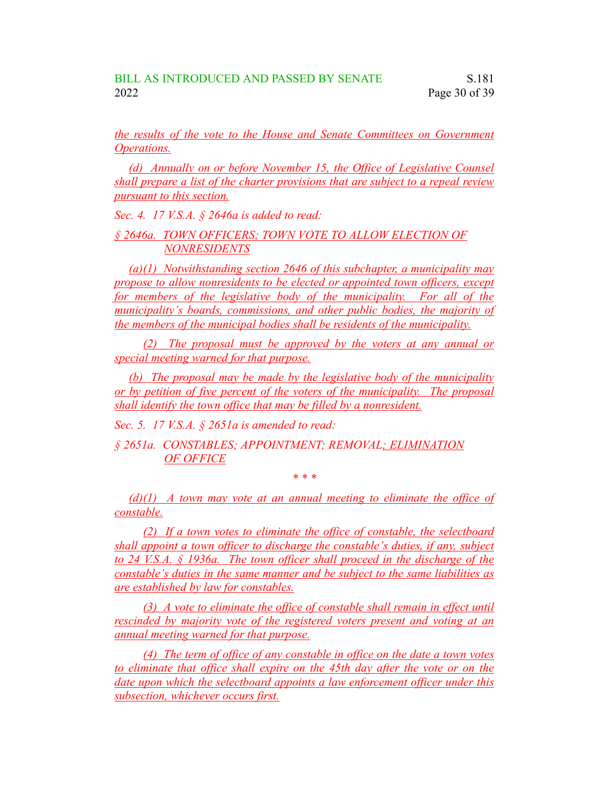*the results of the vote to the House and Senate Committees on Government Operations.*

*(d) Annually on or before November 15, the Office of Legislative Counsel shall prepare a list of the charter provisions that are subject to a repeal review pursuant to this section.*

*Sec. 4. 17 V.S.A. § 2646a is added to read:*

*§ 2646a. TOWN OFFICERS; TOWN VOTE TO ALLOW ELECTION OF NONRESIDENTS*

*(a)(1) Notwithstanding section 2646 of this subchapter, a municipality may propose to allow nonresidents to be elected or appointed town officers, except for members of the legislative body of the municipality. For all of the municipality's boards, commissions, and other public bodies, the majority of the members of the municipal bodies shall be residents of the municipality.*

*(2) The proposal must be approved by the voters at any annual or special meeting warned for that purpose.*

*(b) The proposal may be made by the legislative body of the municipality or by petition of five percent of the voters of the municipality. The proposal shall identify the town office that may be filled by a nonresident.*

*Sec. 5. 17 V.S.A. § 2651a is amended to read:*

*§ 2651a. CONSTABLES; APPOINTMENT; REMOVAL; ELIMINATION OF OFFICE*

*\* \* \**

*(d)(1) A town may vote at an annual meeting to eliminate the office of constable.*

*(2) If a town votes to eliminate the office of constable, the selectboard shall appoint a town officer to discharge the constable's duties, if any, subject to 24 V.S.A. § 1936a. The town officer shall proceed in the discharge of the constable's duties in the same manner and be subject to the same liabilities as are established by law for constables.*

*(3) A vote to eliminate the office of constable shall remain in effect until rescinded by majority vote of the registered voters present and voting at an annual meeting warned for that purpose.*

*(4) The term of office of any constable in office on the date a town votes to eliminate that office shall expire on the 45th day after the vote or on the date upon which the selectboard appoints a law enforcement officer under this subsection, whichever occurs first.*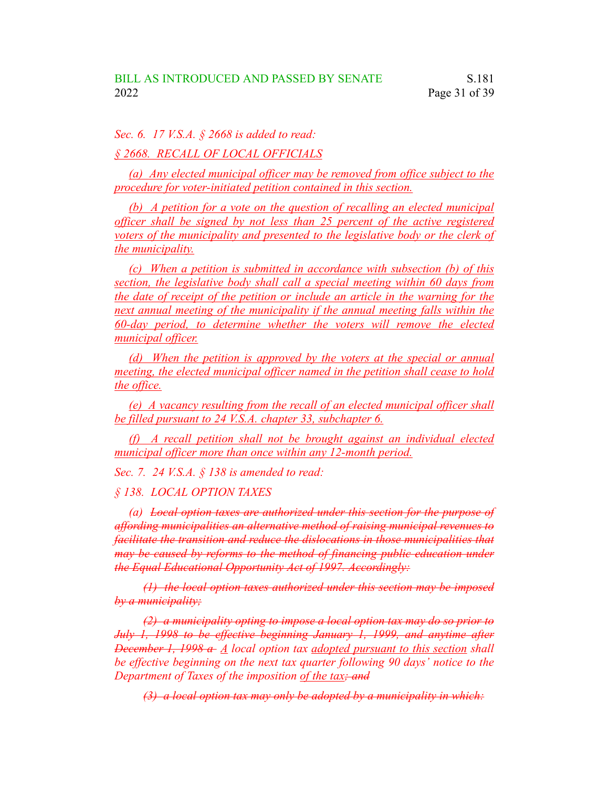*Sec. 6. 17 V.S.A. § 2668 is added to read:*

*§ 2668. RECALL OF LOCAL OFFICIALS*

*(a) Any elected municipal officer may be removed from office subject to the procedure for voter-initiated petition contained in this section.*

*(b) A petition for a vote on the question of recalling an elected municipal officer shall be signed by not less than 25 percent of the active registered voters of the municipality and presented to the legislative body or the clerk of the municipality.*

*(c) When a petition is submitted in accordance with subsection (b) of this section, the legislative body shall call a special meeting within 60 days from the date of receipt of the petition or include an article in the warning for the next annual meeting of the municipality if the annual meeting falls within the 60-day period, to determine whether the voters will remove the elected municipal officer.*

*(d) When the petition is approved by the voters at the special or annual meeting, the elected municipal officer named in the petition shall cease to hold the office.*

*(e) A vacancy resulting from the recall of an elected municipal officer shall be filled pursuant to 24 V.S.A. chapter 33, subchapter 6.*

*(f) A recall petition shall not be brought against an individual elected municipal officer more than once within any 12-month period.*

*Sec. 7. 24 V.S.A. § 138 is amended to read:*

*§ 138. LOCAL OPTION TAXES*

*(a) Local option taxes are authorized under this section for the purpose of affording municipalities an alternative method of raising municipal revenues to facilitate the transition and reduce the dislocations in those municipalities that may be caused by reforms to the method of financing public education under the Equal Educational Opportunity Act of 1997. Accordingly:*

*(1) the local option taxes authorized under this section may be imposed by a municipality;*

*(2) a municipality opting to impose a local option tax may do so prior to July 1, 1998 to be effective beginning January 1, 1999, and anytime after December 1, 1998 a A local option tax adopted pursuant to this section shall be effective beginning on the next tax quarter following 90 days' notice to the Department of Taxes of the imposition of the tax; and*

*(3) a local option tax may only be adopted by a municipality in which:*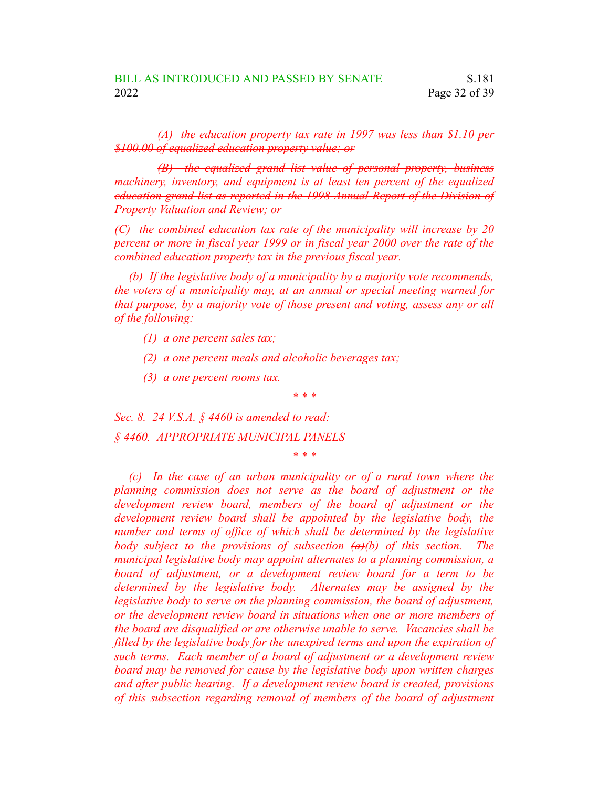*(A) the education property tax rate in 1997 was less than \$1.10 per \$100.00 of equalized education property value; or*

*(B) the equalized grand list value of personal property, business machinery, inventory, and equipment is at least ten percent of the equalized education grand list as reported in the 1998 Annual Report of the Division of Property Valuation and Review; or*

*(C) the combined education tax rate of the municipality will increase by 20 percent or more in fiscal year 1999 or in fiscal year 2000 over the rate of the combined education property tax in the previous fiscal year.*

*(b) If the legislative body of a municipality by a majority vote recommends, the voters of a municipality may, at an annual or special meeting warned for that purpose, by a majority vote of those present and voting, assess any or all of the following:*

- *(1) a one percent sales tax;*
- *(2) a one percent meals and alcoholic beverages tax;*
- *(3) a one percent rooms tax.*

*\* \* \**

*Sec. 8. 24 V.S.A. § 4460 is amended to read: § 4460. APPROPRIATE MUNICIPAL PANELS*

*\* \* \**

*(c) In the case of an urban municipality or of a rural town where the planning commission does not serve as the board of adjustment or the development review board, members of the board of adjustment or the development review board shall be appointed by the legislative body, the number and terms of office of which shall be determined by the legislative body subject to the provisions of subsection (a)(b) of this section. The municipal legislative body may appoint alternates to a planning commission, a board of adjustment, or a development review board for a term to be determined by the legislative body. Alternates may be assigned by the legislative body to serve on the planning commission, the board of adjustment, or the development review board in situations when one or more members of the board are disqualified or are otherwise unable to serve. Vacancies shall be filled by the legislative body for the unexpired terms and upon the expiration of such terms. Each member of a board of adjustment or a development review board may be removed for cause by the legislative body upon written charges and after public hearing. If a development review board is created, provisions of this subsection regarding removal of members of the board of adjustment*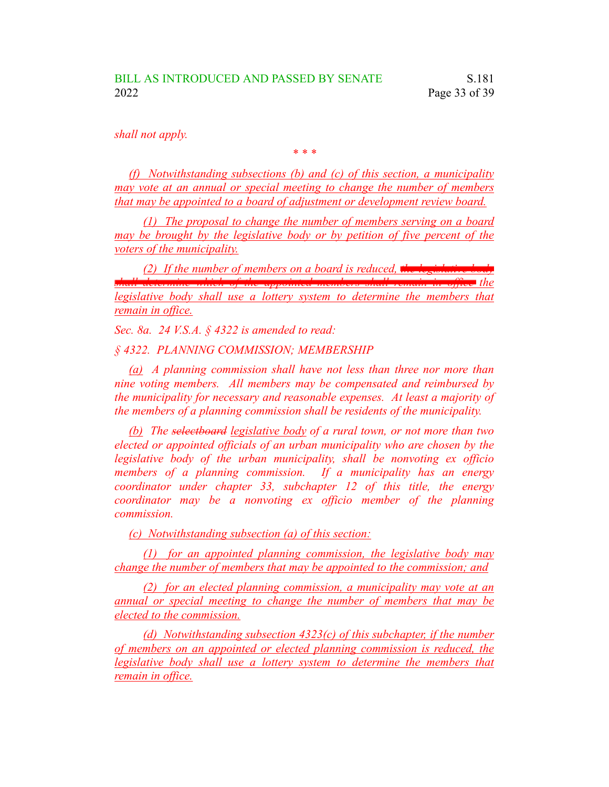*shall not apply.*

*\* \* \**

*(f) Notwithstanding subsections (b) and (c) of this section, a municipality may vote at an annual or special meeting to change the number of members that may be appointed to a board of adjustment or development review board.*

*(1) The proposal to change the number of members serving on a board may be brought by the legislative body or by petition of five percent of the voters of the municipality.*

*(2)* If the number of members on a board is reduced, the legislative *b* 

*legislative body shall use a lottery system to determine the members that remain in office.*

*shall determine which of the appointed members shall remain in office the*

*Sec. 8a. 24 V.S.A. § 4322 is amended to read:*

*§ 4322. PLANNING COMMISSION; MEMBERSHIP*

*(a) A planning commission shall have not less than three nor more than nine voting members. All members may be compensated and reimbursed by the municipality for necessary and reasonable expenses. At least a majority of the members of a planning commission shall be residents of the municipality.*

*(b) The selectboard legislative body of a rural town, or not more than two elected or appointed officials of an urban municipality who are chosen by the legislative body of the urban municipality, shall be nonvoting ex officio members of a planning commission. If a municipality has an energy coordinator under chapter 33, subchapter 12 of this title, the energy coordinator may be a nonvoting ex officio member of the planning commission.*

*(c) Notwithstanding subsection (a) of this section:*

*(1) for an appointed planning commission, the legislative body may change the number of members that may be appointed to the commission; and*

*(2) for an elected planning commission, a municipality may vote at an annual or special meeting to change the number of members that may be elected to the commission.*

*(d) Notwithstanding subsection 4323(c) of this subchapter, if the number of members on an appointed or elected planning commission is reduced, the legislative body shall use a lottery system to determine the members that remain in office.*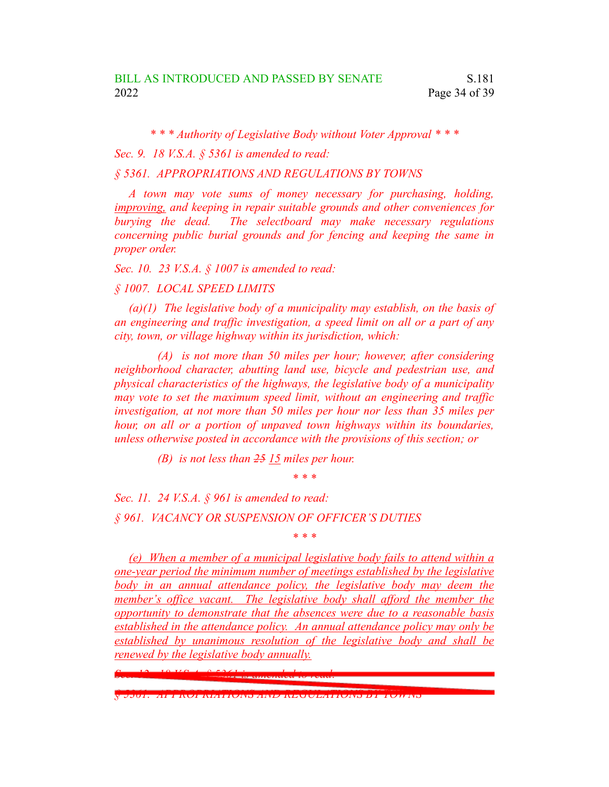*\* \* \* Authority of Legislative Body without Voter Approval \* \* \**

*Sec. 9. 18 V.S.A. § 5361 is amended to read:*

*§ 5361. APPROPRIATIONS AND REGULATIONS BY TOWNS*

*A town may vote sums of money necessary for purchasing, holding, improving, and keeping in repair suitable grounds and other conveniences for burying the dead. The selectboard may make necessary regulations concerning public burial grounds and for fencing and keeping the same in proper order.*

*Sec. 10. 23 V.S.A. § 1007 is amended to read:*

*§ 1007. LOCAL SPEED LIMITS*

*(a)(1) The legislative body of a municipality may establish, on the basis of an engineering and traffic investigation, a speed limit on all or a part of any city, town, or village highway within its jurisdiction, which:*

*(A) is not more than 50 miles per hour; however, after considering neighborhood character, abutting land use, bicycle and pedestrian use, and physical characteristics of the highways, the legislative body of a municipality may vote to set the maximum speed limit, without an engineering and traffic investigation, at not more than 50 miles per hour nor less than 35 miles per hour, on all or a portion of unpaved town highways within its boundaries, unless otherwise posted in accordance with the provisions of this section; or*

*(B) is not less than 25 15 miles per hour.*

*\* \* \**

*Sec. 11. 24 V.S.A. § 961 is amended to read: § 961. VACANCY OR SUSPENSION OF OFFICER'S DUTIES*

*\* \* \**

*(e) When a member of a municipal legislative body fails to attend within a one-year period the minimum number of meetings established by the legislative body in an annual attendance policy, the legislative body may deem the member's office vacant. The legislative body shall afford the member the opportunity to demonstrate that the absences were due to a reasonable basis established in the attendance policy. An annual attendance policy may only be established by unanimous resolution of the legislative body and shall be renewed by the legislative body annually.*

*Sec. 12. 18 V.S.A. § 5361 is amended to read:*

*§ 5361. APPROPRIATIONS AND REGULATIONS BY TOWNS*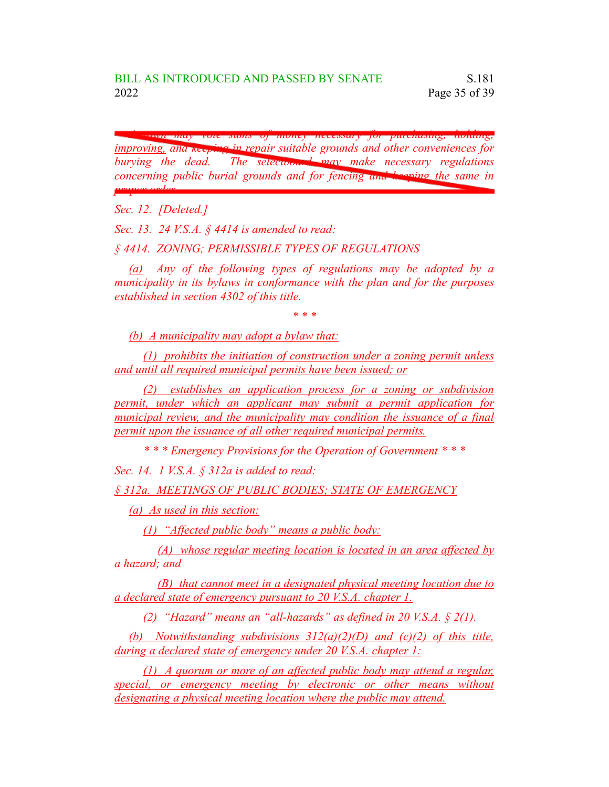*A town may vote sums of money necessary for purchasing, holding, improving, and keeping in repair suitable grounds and other conveniences for burying the dead. The selectboard may make necessary regulations concerning public burial grounds and for fencing and keeping the same in proper order.*

*Sec. 12. [Deleted.]*

*Sec. 13. 24 V.S.A. § 4414 is amended to read:*

*§ 4414. ZONING; PERMISSIBLE TYPES OF REGULATIONS*

*(a) Any of the following types of regulations may be adopted by a municipality in its bylaws in conformance with the plan and for the purposes established in section 4302 of this title.*

*\* \* \**

*(b) A municipality may adopt a bylaw that:*

*(1) prohibits the initiation of construction under a zoning permit unless and until all required municipal permits have been issued; or*

*(2) establishes an application process for a zoning or subdivision permit, under which an applicant may submit a permit application for municipal review, and the municipality may condition the issuance of a final permit upon the issuance of all other required municipal permits.*

*\* \* \* Emergency Provisions for the Operation of Government \* \* \**

*Sec. 14. 1 V.S.A. § 312a is added to read:*

*§ 312a. MEETINGS OF PUBLIC BODIES; STATE OF EMERGENCY*

*(a) As used in this section:*

*(1) "Affected public body" means a public body:*

*(A) whose regular meeting location is located in an area affected by a hazard; and*

*(B) that cannot meet in a designated physical meeting location due to a declared state of emergency pursuant to 20 V.S.A. chapter 1.*

*(2) "Hazard" means an "all-hazards" as defined in 20 V.S.A. § 2(1).*

*(b) Notwithstanding subdivisions 312(a)(2)(D) and (c)(2) of this title, during a declared state of emergency under 20 V.S.A. chapter 1:*

*(1) A quorum or more of an affected public body may attend a regular, special, or emergency meeting by electronic or other means without designating a physical meeting location where the public may attend.*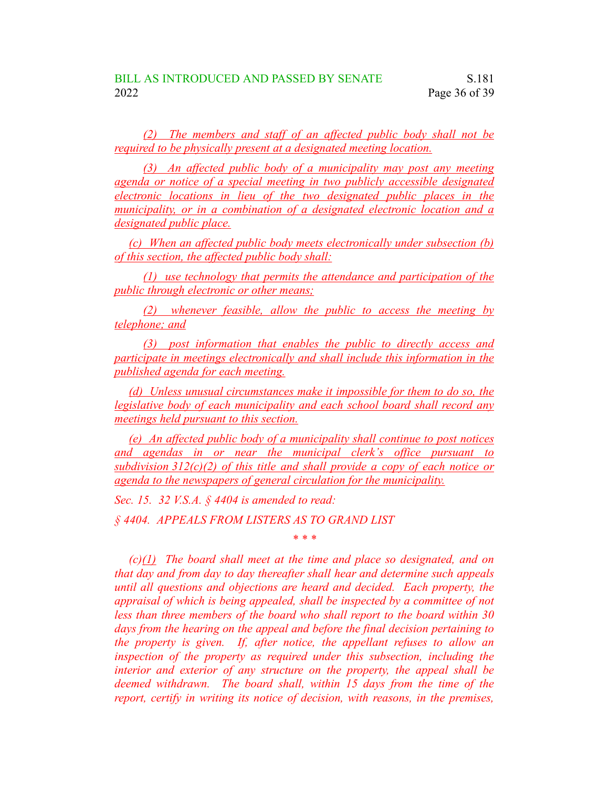*(2) The members and staff of an affected public body shall not be required to be physically present at a designated meeting location.*

*(3) An affected public body of a municipality may post any meeting agenda or notice of a special meeting in two publicly accessible designated electronic locations in lieu of the two designated public places in the municipality, or in a combination of a designated electronic location and a designated public place.*

*(c) When an affected public body meets electronically under subsection (b) of this section, the affected public body shall:*

*(1) use technology that permits the attendance and participation of the public through electronic or other means;*

*(2) whenever feasible, allow the public to access the meeting by telephone; and*

*(3) post information that enables the public to directly access and participate in meetings electronically and shall include this information in the published agenda for each meeting.*

*(d) Unless unusual circumstances make it impossible for them to do so, the legislative body of each municipality and each school board shall record any meetings held pursuant to this section.*

*(e) An affected public body of a municipality shall continue to post notices and agendas in or near the municipal clerk's office pursuant to subdivision 312(c)(2) of this title and shall provide a copy of each notice or agenda to the newspapers of general circulation for the municipality.*

*\* \* \**

*Sec. 15. 32 V.S.A. § 4404 is amended to read:*

*§ 4404. APPEALS FROM LISTERS AS TO GRAND LIST*

*(c)(1) The board shall meet at the time and place so designated, and on that day and from day to day thereafter shall hear and determine such appeals until all questions and objections are heard and decided. Each property, the appraisal of which is being appealed, shall be inspected by a committee of not less than three members of the board who shall report to the board within 30 days from the hearing on the appeal and before the final decision pertaining to the property is given. If, after notice, the appellant refuses to allow an inspection of the property as required under this subsection, including the interior and exterior of any structure on the property, the appeal shall be deemed withdrawn. The board shall, within 15 days from the time of the report, certify in writing its notice of decision, with reasons, in the premises,*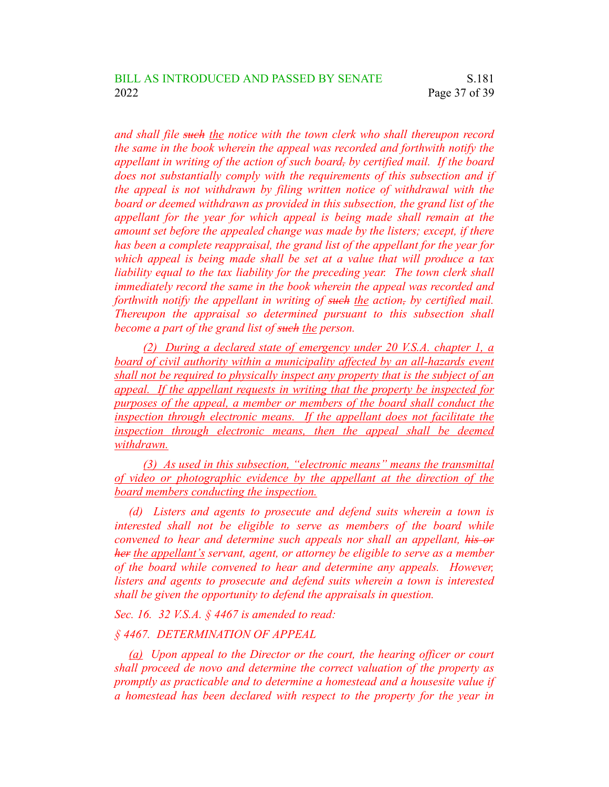*and shall file such the notice with the town clerk who shall thereupon record the same in the book wherein the appeal was recorded and forthwith notify the appellant in writing of the action of such board, by certified mail. If the board does not substantially comply with the requirements of this subsection and if the appeal is not withdrawn by filing written notice of withdrawal with the board or deemed withdrawn as provided in this subsection, the grand list of the appellant for the year for which appeal is being made shall remain at the amount set before the appealed change was made by the listers; except, if there has been a complete reappraisal, the grand list of the appellant for the year for which appeal is being made shall be set at a value that will produce a tax liability equal to the tax liability for the preceding year. The town clerk shall immediately record the same in the book wherein the appeal was recorded and forthwith notify the appellant in writing of such the action, by certified mail. Thereupon the appraisal so determined pursuant to this subsection shall become a part of the grand list of such the person.*

*(2) During a declared state of emergency under 20 V.S.A. chapter 1, a board of civil authority within a municipality affected by an all-hazards event shall not be required to physically inspect any property that is the subject of an appeal. If the appellant requests in writing that the property be inspected for purposes of the appeal, a member or members of the board shall conduct the inspection through electronic means. If the appellant does not facilitate the inspection through electronic means, then the appeal shall be deemed withdrawn.*

*(3) As used in this subsection, "electronic means" means the transmittal of video or photographic evidence by the appellant at the direction of the board members conducting the inspection.*

*(d) Listers and agents to prosecute and defend suits wherein a town is interested shall not be eligible to serve as members of the board while convened to hear and determine such appeals nor shall an appellant, his or her the appellant's servant, agent, or attorney be eligible to serve as a member of the board while convened to hear and determine any appeals. However, listers and agents to prosecute and defend suits wherein a town is interested shall be given the opportunity to defend the appraisals in question.*

*Sec. 16. 32 V.S.A. § 4467 is amended to read:*

### *§ 4467. DETERMINATION OF APPEAL*

*(a) Upon appeal to the Director or the court, the hearing officer or court shall proceed de novo and determine the correct valuation of the property as promptly as practicable and to determine a homestead and a housesite value if a homestead has been declared with respect to the property for the year in*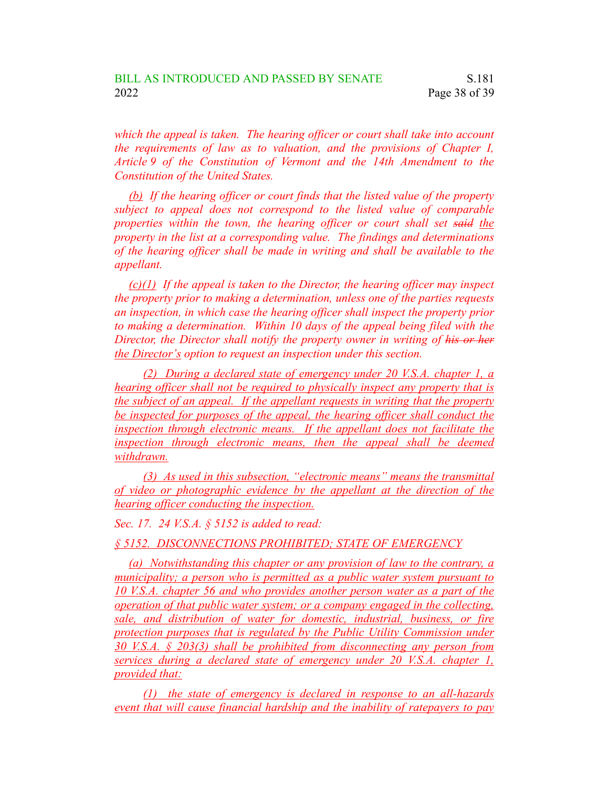*which the appeal is taken. The hearing officer or court shall take into account the requirements of law as to valuation, and the provisions of Chapter I, Article 9 of the Constitution of Vermont and the 14th Amendment to the Constitution of the United States.*

*(b) If the hearing officer or court finds that the listed value of the property subject to appeal does not correspond to the listed value of comparable properties within the town, the hearing officer or court shall set said the property in the list at a corresponding value. The findings and determinations of the hearing officer shall be made in writing and shall be available to the appellant.*

*(c)(1) If the appeal is taken to the Director, the hearing officer may inspect the property prior to making a determination, unless one of the parties requests an inspection, in which case the hearing officer shall inspect the property prior to making a determination. Within 10 days of the appeal being filed with the Director, the Director shall notify the property owner in writing of his or her the Director's option to request an inspection under this section.*

*(2) During a declared state of emergency under 20 V.S.A. chapter 1, a hearing officer shall not be required to physically inspect any property that is the subject of an appeal. If the appellant requests in writing that the property be inspected for purposes of the appeal, the hearing officer shall conduct the inspection through electronic means. If the appellant does not facilitate the inspection through electronic means, then the appeal shall be deemed withdrawn.*

*(3) As used in this subsection, "electronic means" means the transmittal of video or photographic evidence by the appellant at the direction of the hearing officer conducting the inspection.*

*Sec. 17. 24 V.S.A. § 5152 is added to read:*

*§ 5152. DISCONNECTIONS PROHIBITED; STATE OF EMERGENCY*

*(a) Notwithstanding this chapter or any provision of law to the contrary, a municipality; a person who is permitted as a public water system pursuant to 10 V.S.A. chapter 56 and who provides another person water as a part of the operation of that public water system; or a company engaged in the collecting, sale, and distribution of water for domestic, industrial, business, or fire protection purposes that is regulated by the Public Utility Commission under 30 V.S.A. § 203(3) shall be prohibited from disconnecting any person from services during a declared state of emergency under 20 V.S.A. chapter 1, provided that:*

*(1) the state of emergency is declared in response to an all-hazards event that will cause financial hardship and the inability of ratepayers to pay*